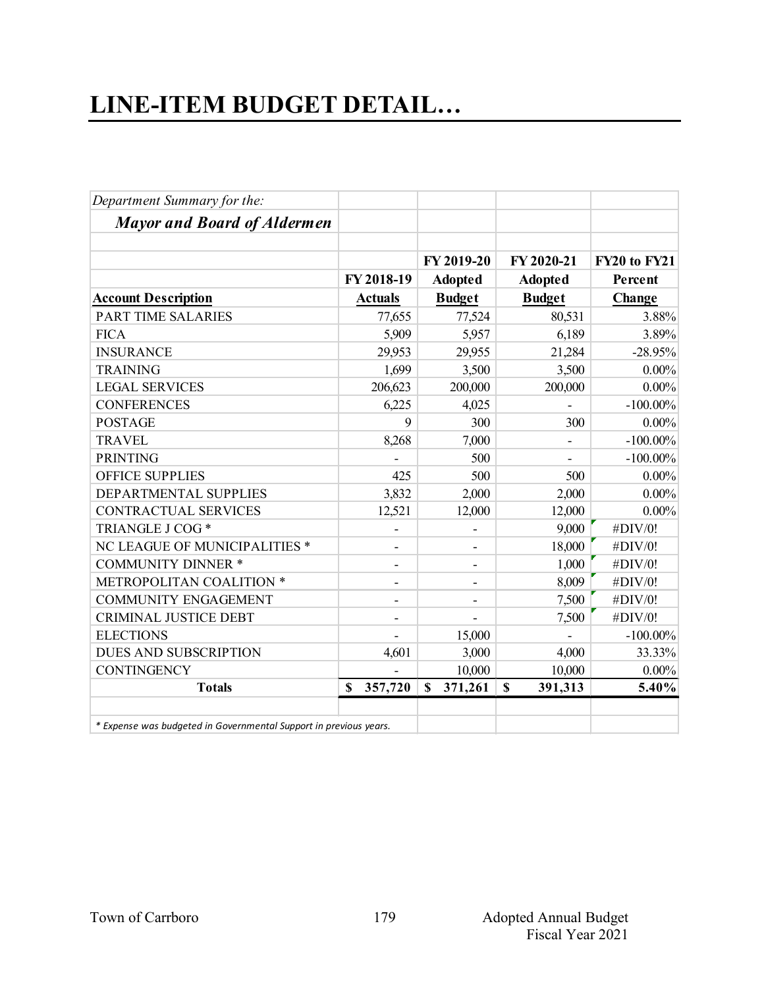## **LINE-ITEM BUDGET DETAIL…**

| Department Summary for the:                                       |                              |                          |                        |              |
|-------------------------------------------------------------------|------------------------------|--------------------------|------------------------|--------------|
| <b>Mayor and Board of Aldermen</b>                                |                              |                          |                        |              |
|                                                                   |                              | FY 2019-20               | FY 2020-21             | FY20 to FY21 |
|                                                                   | FY 2018-19                   | <b>Adopted</b>           | <b>Adopted</b>         | Percent      |
| <b>Account Description</b>                                        | <b>Actuals</b>               | <b>Budget</b>            | <b>Budget</b>          | Change       |
| PART TIME SALARIES                                                | 77,655                       | 77,524                   | 80,531                 | 3.88%        |
| <b>FICA</b>                                                       | 5,909                        | 5,957                    | 6,189                  | 3.89%        |
| <b>INSURANCE</b>                                                  | 29,953                       | 29,955                   | 21,284                 | $-28.95%$    |
| <b>TRAINING</b>                                                   | 1,699                        | 3,500                    | 3,500                  | $0.00\%$     |
| <b>LEGAL SERVICES</b>                                             | 206,623                      | 200,000                  | 200,000                | $0.00\%$     |
| <b>CONFERENCES</b>                                                | 6,225                        | 4,025                    |                        | $-100.00\%$  |
| <b>POSTAGE</b>                                                    | 9                            | 300                      | 300                    | $0.00\%$     |
| <b>TRAVEL</b>                                                     | 8,268                        | 7,000                    |                        | $-100.00\%$  |
| <b>PRINTING</b>                                                   |                              | 500                      |                        | $-100.00\%$  |
| <b>OFFICE SUPPLIES</b>                                            | 425                          | 500                      | 500                    | $0.00\%$     |
| DEPARTMENTAL SUPPLIES                                             | 3,832                        | 2,000                    | 2,000                  | $0.00\%$     |
| <b>CONTRACTUAL SERVICES</b>                                       | 12,521                       | 12,000                   | 12,000                 | $0.00\%$     |
| TRIANGLE J COG *                                                  |                              |                          | 9,000                  | #DIV/0!      |
| NC LEAGUE OF MUNICIPALITIES *                                     |                              | ۰                        | 18,000                 | #DIV/0!      |
| <b>COMMUNITY DINNER *</b>                                         | $\overline{\phantom{a}}$     | ۰                        | 1,000                  | #DIV/0!      |
| METROPOLITAN COALITION *                                          | $\qquad \qquad \blacksquare$ | $\overline{\phantom{a}}$ | 8,009                  | #DIV/0!      |
| <b>COMMUNITY ENGAGEMENT</b>                                       |                              |                          | 7,500                  | #DIV/0!      |
| <b>CRIMINAL JUSTICE DEBT</b>                                      |                              |                          | 7,500                  | #DIV/0!      |
| <b>ELECTIONS</b>                                                  |                              | 15,000                   |                        | $-100.00\%$  |
| <b>DUES AND SUBSCRIPTION</b>                                      | 4,601                        | 3,000                    | 4,000                  | 33.33%       |
| <b>CONTINGENCY</b>                                                |                              | 10,000                   | 10,000                 | $0.00\%$     |
| <b>Totals</b>                                                     | 357,720<br>\$                | $\mathbf S$<br>371,261   | $\mathbf S$<br>391,313 | 5.40%        |
| * Expense was budgeted in Governmental Support in previous years. |                              |                          |                        |              |

 *\* Expense was budgeted in Governmental Support in previous years.*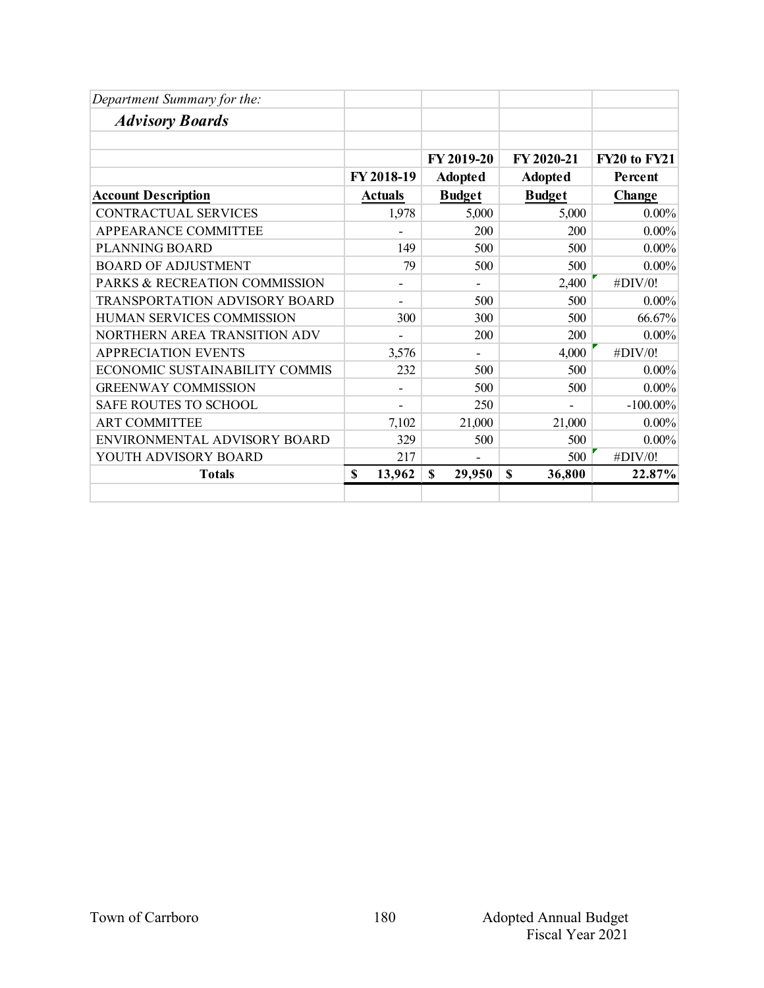| Department Summary for the:          |                          |                |                       |                     |
|--------------------------------------|--------------------------|----------------|-----------------------|---------------------|
| <b>Advisory Boards</b>               |                          |                |                       |                     |
|                                      |                          |                |                       |                     |
|                                      |                          | FY 2019-20     | FY 2020-21            | <b>FY20 to FY21</b> |
|                                      | FY 2018-19               | <b>Adopted</b> | <b>Adopted</b>        | Percent             |
| <b>Account Description</b>           | <b>Actuals</b>           | <b>Budget</b>  | <b>Budget</b>         | Change              |
| CONTRACTUAL SERVICES                 | 1,978                    | 5,000          | 5,000                 | $0.00\%$            |
| APPEARANCE COMMITTEE                 |                          | 200            | 200                   | $0.00\%$            |
| <b>PLANNING BOARD</b>                | 149                      | 500            | 500                   | $0.00\%$            |
| <b>BOARD OF ADJUSTMENT</b>           | 79                       | 500            | 500                   | $0.00\%$            |
| PARKS & RECREATION COMMISSION        | -                        | ۰              | 2,400                 | #DIV/0!             |
| <b>TRANSPORTATION ADVISORY BOARD</b> | ۰                        | 500            | 500                   | $0.00\%$            |
| HUMAN SERVICES COMMISSION            | 300                      | 300            | 500                   | 66.67%              |
| NORTHERN AREA TRANSITION ADV         |                          | 200            | 200                   | $0.00\%$            |
| <b>APPRECIATION EVENTS</b>           | 3,576                    |                | 4,000                 | #DIV/0!             |
| ECONOMIC SUSTAINABILITY COMMIS       | 232                      | 500            | 500                   | $0.00\%$            |
| <b>GREENWAY COMMISSION</b>           | $\overline{\phantom{0}}$ | 500            | 500                   | $0.00\%$            |
| SAFE ROUTES TO SCHOOL                |                          | 250            |                       | $-100.00\%$         |
| <b>ART COMMITTEE</b>                 | 7,102                    | 21,000         | 21,000                | $0.00\%$            |
| ENVIRONMENTAL ADVISORY BOARD         | 329                      | 500            | 500                   | $0.00\%$            |
| YOUTH ADVISORY BOARD                 | 217                      |                | 500                   | #DIV/0!             |
| <b>Totals</b>                        | 13,962<br>\$             | \$<br>29,950   | $\mathbf S$<br>36,800 | 22.87%              |
|                                      |                          |                |                       |                     |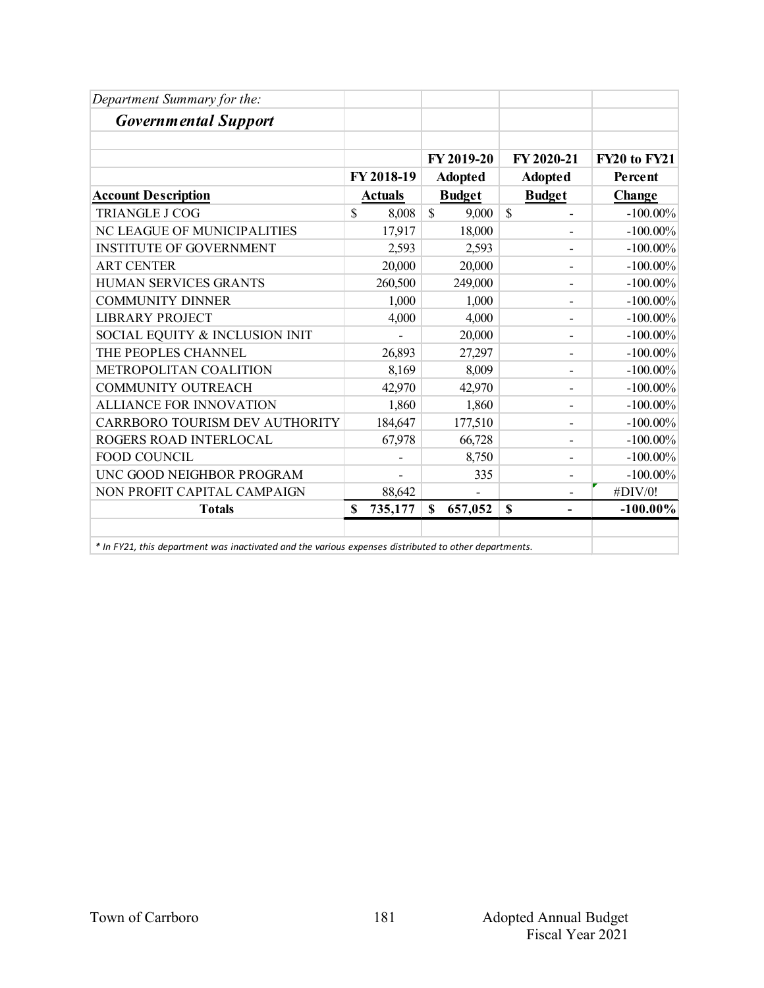| Department Summary for the:                                                                           |                        |                        |                                         |                     |
|-------------------------------------------------------------------------------------------------------|------------------------|------------------------|-----------------------------------------|---------------------|
| <b>Governmental Support</b>                                                                           |                        |                        |                                         |                     |
|                                                                                                       |                        | FY 2019-20             | FY 2020-21                              | <b>FY20 to FY21</b> |
|                                                                                                       | FY 2018-19             | <b>Adopted</b>         | <b>Adopted</b>                          | Percent             |
| <b>Account Description</b>                                                                            | <b>Actuals</b>         | <b>Budget</b>          | <b>Budget</b>                           | Change              |
| <b>TRIANGLE J COG</b>                                                                                 | $\mathcal{S}$<br>8,008 | $\mathcal{S}$<br>9,000 | $\mathbf S$<br>-                        | $-100.00\%$         |
| NC LEAGUE OF MUNICIPALITIES                                                                           | 17,917                 | 18,000                 |                                         | $-100.00\%$         |
| <b>INSTITUTE OF GOVERNMENT</b>                                                                        | 2,593                  | 2,593                  | $\overline{a}$                          | $-100.00\%$         |
| <b>ART CENTER</b>                                                                                     | 20,000                 | 20,000                 |                                         | $-100.00\%$         |
| HUMAN SERVICES GRANTS                                                                                 | 260,500                | 249,000                | -                                       | $-100.00\%$         |
| <b>COMMUNITY DINNER</b>                                                                               | 1,000                  | 1,000                  | -                                       | $-100.00\%$         |
| <b>LIBRARY PROJECT</b>                                                                                | 4,000                  | 4,000                  | -                                       | $-100.00\%$         |
| SOCIAL EQUITY & INCLUSION INIT                                                                        |                        | 20,000                 |                                         | $-100.00\%$         |
| THE PEOPLES CHANNEL                                                                                   | 26,893                 | 27,297                 |                                         | $-100.00\%$         |
| METROPOLITAN COALITION                                                                                | 8,169                  | 8,009                  | -                                       | $-100.00\%$         |
| <b>COMMUNITY OUTREACH</b>                                                                             | 42,970                 | 42,970                 | -                                       | $-100.00\%$         |
| <b>ALLIANCE FOR INNOVATION</b>                                                                        | 1,860                  | 1,860                  | -                                       | $-100.00\%$         |
| CARRBORO TOURISM DEV AUTHORITY                                                                        | 184,647                | 177,510                | $\overline{a}$                          | $-100.00\%$         |
| ROGERS ROAD INTERLOCAL                                                                                | 67,978                 | 66,728                 |                                         | $-100.00\%$         |
| FOOD COUNCIL                                                                                          |                        | 8,750                  | -                                       | $-100.00\%$         |
| UNC GOOD NEIGHBOR PROGRAM                                                                             |                        | 335                    | $\overline{a}$                          | $-100.00\%$         |
| NON PROFIT CAPITAL CAMPAIGN                                                                           | 88,642                 |                        |                                         | #DIV/0!             |
| <b>Totals</b>                                                                                         | 735,177<br>S           | \$<br>657,052          | $\mathbf S$<br>$\overline{\phantom{0}}$ | $-100.00\%$         |
| * In FY21, this department was inactivated and the various expenses distributed to other departments. |                        |                        |                                         |                     |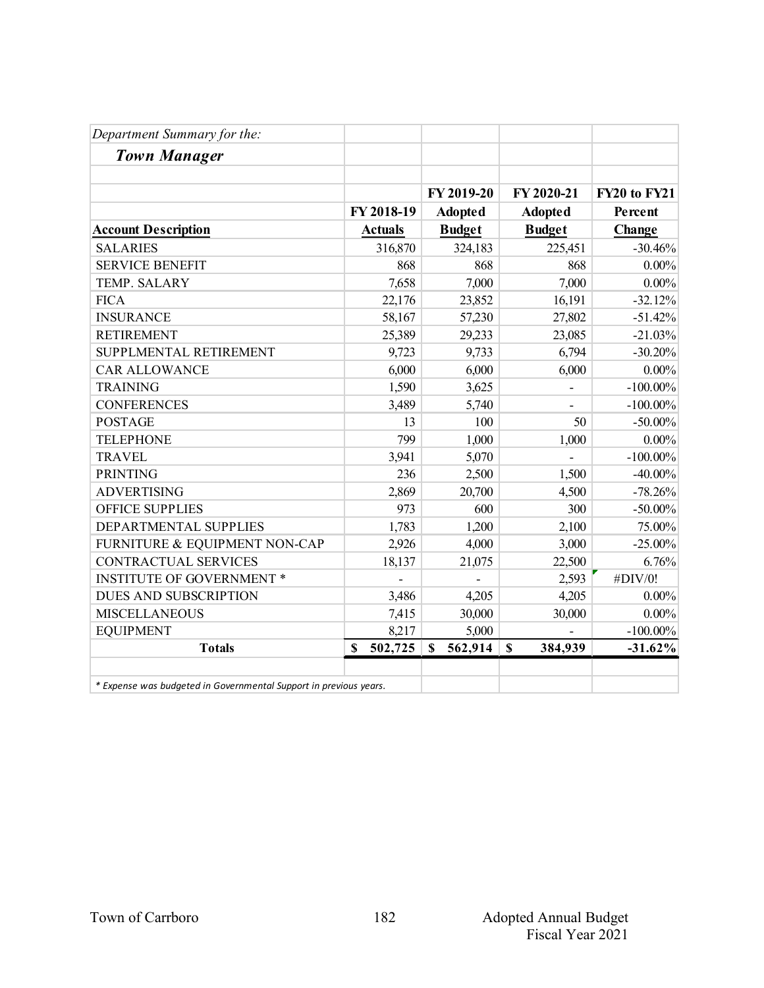| Department Summary for the:                                       |                |                          |                        |                     |
|-------------------------------------------------------------------|----------------|--------------------------|------------------------|---------------------|
| <b>Town Manager</b>                                               |                |                          |                        |                     |
|                                                                   |                | FY 2019-20               | FY 2020-21             | <b>FY20 to FY21</b> |
|                                                                   | FY 2018-19     | <b>Adopted</b>           | <b>Adopted</b>         | Percent             |
| <b>Account Description</b>                                        | <b>Actuals</b> | <b>Budget</b>            | <b>Budget</b>          | Change              |
| <b>SALARIES</b>                                                   | 316,870        | 324,183                  | 225,451                | $-30.46%$           |
| <b>SERVICE BENEFIT</b>                                            | 868            | 868                      | 868                    | $0.00\%$            |
| TEMP. SALARY                                                      | 7,658          | 7,000                    | 7,000                  | $0.00\%$            |
| <b>FICA</b>                                                       | 22,176         | 23,852                   | 16,191                 | $-32.12%$           |
| <b>INSURANCE</b>                                                  | 58,167         | 57,230                   | 27,802                 | $-51.42%$           |
| <b>RETIREMENT</b>                                                 | 25,389         | 29,233                   | 23,085                 | $-21.03%$           |
| SUPPLMENTAL RETIREMENT                                            | 9,723          | 9,733                    | 6,794                  | $-30.20%$           |
| <b>CAR ALLOWANCE</b>                                              | 6,000          | 6,000                    | 6,000                  | $0.00\%$            |
| <b>TRAINING</b>                                                   | 1,590          | 3,625                    |                        | $-100.00\%$         |
| <b>CONFERENCES</b>                                                | 3,489          | 5,740                    |                        | $-100.00\%$         |
| <b>POSTAGE</b>                                                    | 13             | 100                      | 50                     | $-50.00\%$          |
| <b>TELEPHONE</b>                                                  | 799            | 1,000                    | 1,000                  | $0.00\%$            |
| <b>TRAVEL</b>                                                     | 3,941          | 5,070                    |                        | $-100.00\%$         |
| <b>PRINTING</b>                                                   | 236            | 2,500                    | 1,500                  | $-40.00\%$          |
| <b>ADVERTISING</b>                                                | 2,869          | 20,700                   | 4,500                  | $-78.26%$           |
| <b>OFFICE SUPPLIES</b>                                            | 973            | 600                      | 300                    | $-50.00\%$          |
| DEPARTMENTAL SUPPLIES                                             | 1,783          | 1,200                    | 2,100                  | 75.00%              |
| FURNITURE & EQUIPMENT NON-CAP                                     | 2,926          | 4,000                    | 3,000                  | $-25.00%$           |
| CONTRACTUAL SERVICES                                              | 18,137         | 21,075                   | 22,500                 | 6.76%               |
| <b>INSTITUTE OF GOVERNMENT *</b>                                  |                | $\overline{\phantom{a}}$ | 2,593                  | #DIV/0!             |
| <b>DUES AND SUBSCRIPTION</b>                                      | 3,486          | 4,205                    | 4,205                  | $0.00\%$            |
| <b>MISCELLANEOUS</b>                                              | 7,415          | 30,000                   | 30,000                 | $0.00\%$            |
| <b>EQUIPMENT</b>                                                  | 8,217          | 5,000                    |                        | $-100.00\%$         |
| <b>Totals</b>                                                     | 502,725<br>\$  | 562,914<br>\$            | $\mathbf S$<br>384,939 | $-31.62%$           |
| * Expense was budgeted in Governmental Support in previous years. |                |                          |                        |                     |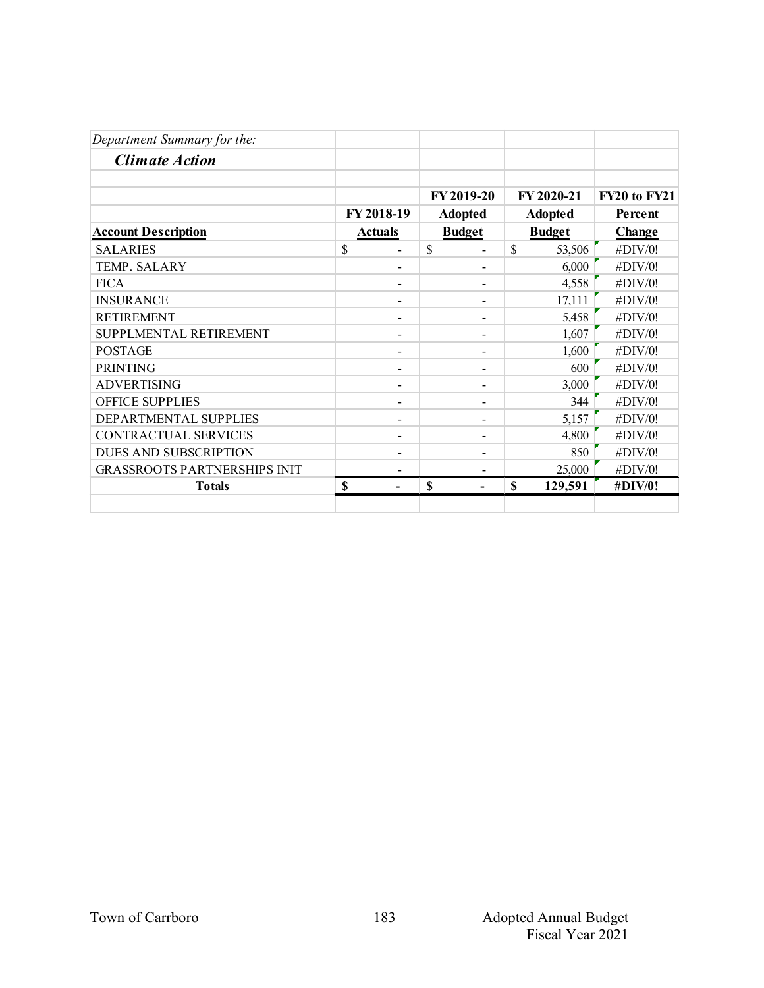|                          |                              |                          |                                               |         | FY20 to FY21                                  |
|--------------------------|------------------------------|--------------------------|-----------------------------------------------|---------|-----------------------------------------------|
|                          |                              |                          |                                               |         | Percent                                       |
|                          |                              |                          |                                               |         | <b>Change</b>                                 |
| \$                       | $\mathbb{S}$                 |                          | $\mathbb{S}$                                  | 53,506  | #DIV/0!                                       |
|                          |                              |                          |                                               | 6,000   | #DIV/0!                                       |
|                          |                              |                          |                                               | 4,558   | #DIV/0!                                       |
|                          |                              | $\overline{\phantom{0}}$ |                                               | 17,111  | #DIV/0!                                       |
| $\overline{\phantom{0}}$ |                              | $\overline{\phantom{a}}$ |                                               | 5,458   | #DIV/0!                                       |
|                          |                              | $\overline{\phantom{0}}$ |                                               | 1,607   | #DIV/0!                                       |
|                          |                              |                          |                                               | 1,600   | #DIV/0!                                       |
|                          |                              |                          |                                               | 600     | #DIV/0!                                       |
|                          |                              | $\overline{\phantom{0}}$ |                                               | 3,000   | #DIV/0!                                       |
| $\overline{\phantom{a}}$ |                              | $\overline{\phantom{a}}$ |                                               | 344     | #DIV/0!                                       |
|                          |                              | $\overline{\phantom{a}}$ |                                               | 5,157   | #DIV/0!                                       |
|                          |                              |                          |                                               | 4,800   | #DIV/0!                                       |
|                          |                              |                          |                                               | 850     | #DIV/0!                                       |
|                          |                              | $\overline{\phantom{0}}$ |                                               | 25,000  | #DIV/0!                                       |
| \$                       | \$                           |                          | \$                                            | 129,591 | #DIV/0!                                       |
|                          | FY 2018-19<br><b>Actuals</b> |                          | FY 2019-20<br><b>Adopted</b><br><b>Budget</b> |         | FY 2020-21<br><b>Adopted</b><br><b>Budget</b> |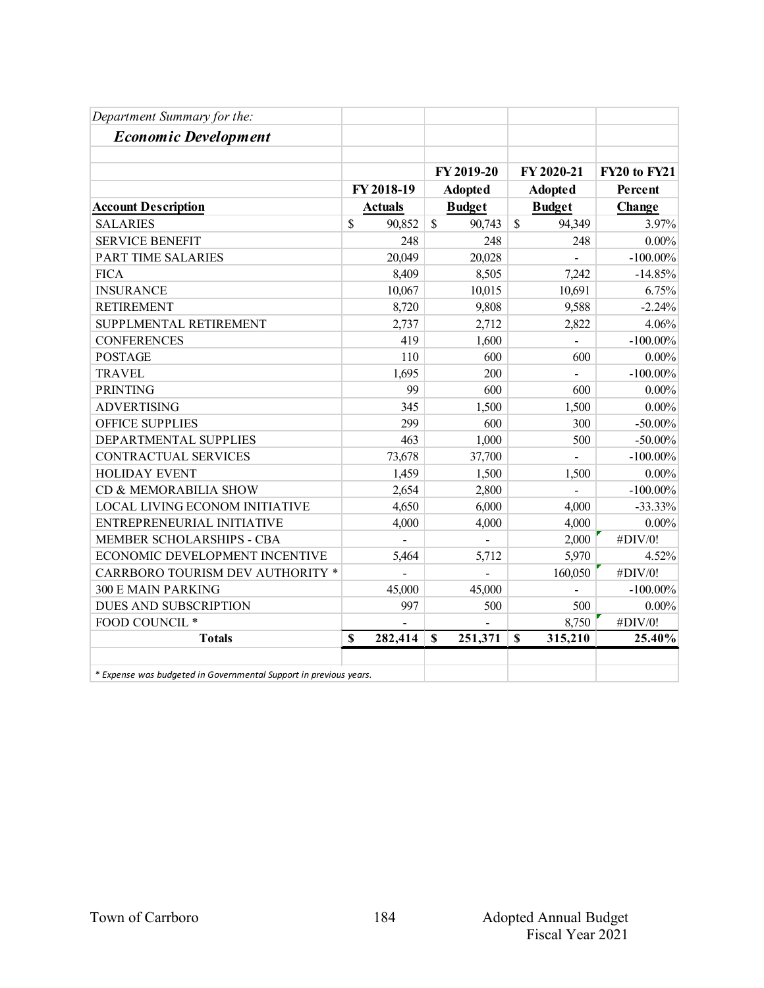| Department Summary for the:                                       |                |                         |                         |              |
|-------------------------------------------------------------------|----------------|-------------------------|-------------------------|--------------|
| <b>Economic Development</b>                                       |                |                         |                         |              |
|                                                                   |                |                         |                         |              |
|                                                                   |                | FY 2019-20              | FY 2020-21              | FY20 to FY21 |
|                                                                   | FY 2018-19     | <b>Adopted</b>          | <b>Adopted</b>          | Percent      |
| <b>Account Description</b>                                        | <b>Actuals</b> | <b>Budget</b>           | <b>Budget</b>           | Change       |
| <b>SALARIES</b>                                                   | \$<br>90,852   | $\mathcal{S}$<br>90,743 | $\mathcal{S}$<br>94,349 | 3.97%        |
| <b>SERVICE BENEFIT</b>                                            | 248            | 248                     | 248                     | $0.00\%$     |
| PART TIME SALARIES                                                | 20,049         | 20,028                  |                         | $-100.00\%$  |
| <b>FICA</b>                                                       | 8,409          | 8,505                   | 7,242                   | $-14.85%$    |
| <b>INSURANCE</b>                                                  | 10,067         | 10,015                  | 10,691                  | 6.75%        |
| <b>RETIREMENT</b>                                                 | 8,720          | 9,808                   | 9,588                   | $-2.24%$     |
| SUPPLMENTAL RETIREMENT                                            | 2,737          | 2,712                   | 2,822                   | 4.06%        |
| <b>CONFERENCES</b>                                                | 419            | 1,600                   | $\overline{a}$          | $-100.00\%$  |
| <b>POSTAGE</b>                                                    | 110            | 600                     | 600                     | $0.00\%$     |
| <b>TRAVEL</b>                                                     | 1,695          | 200                     |                         | $-100.00\%$  |
| <b>PRINTING</b>                                                   | 99             | 600                     | 600                     | $0.00\%$     |
| <b>ADVERTISING</b>                                                | 345            | 1,500                   | 1,500                   | 0.00%        |
| <b>OFFICE SUPPLIES</b>                                            | 299            | 600                     | 300                     | $-50.00\%$   |
| DEPARTMENTAL SUPPLIES                                             | 463            | 1,000                   | 500                     | $-50.00\%$   |
| <b>CONTRACTUAL SERVICES</b>                                       | 73,678         | 37,700                  |                         | $-100.00\%$  |
| <b>HOLIDAY EVENT</b>                                              | 1,459          | 1,500                   | 1,500                   | $0.00\%$     |
| CD & MEMORABILIA SHOW                                             | 2,654          | 2,800                   |                         | $-100.00\%$  |
| LOCAL LIVING ECONOM INITIATIVE                                    | 4,650          | 6,000                   | 4,000                   | $-33.33%$    |
| ENTREPRENEURIAL INITIATIVE                                        | 4,000          | 4,000                   | 4,000                   | $0.00\%$     |
| MEMBER SCHOLARSHIPS - CBA                                         |                |                         | 2,000                   | #DIV/0!      |
| ECONOMIC DEVELOPMENT INCENTIVE                                    | 5,464          | 5,712                   | 5,970                   | 4.52%        |
| CARRBORO TOURISM DEV AUTHORITY *                                  |                | $\overline{a}$          | 160,050                 | #DIV/0!      |
| <b>300 E MAIN PARKING</b>                                         | 45,000         | 45,000                  |                         | $-100.00\%$  |
| DUES AND SUBSCRIPTION                                             | 997            | 500                     | 500                     | $0.00\%$     |
| FOOD COUNCIL *                                                    |                |                         | 8,750                   | #DIV/0!      |
| <b>Totals</b>                                                     | 282,414<br>\$  | 251,371<br>$\mathbf S$  | 315,210<br>$\mathbf S$  | 25.40%       |
| * Expense was budgeted in Governmental Support in previous years. |                |                         |                         |              |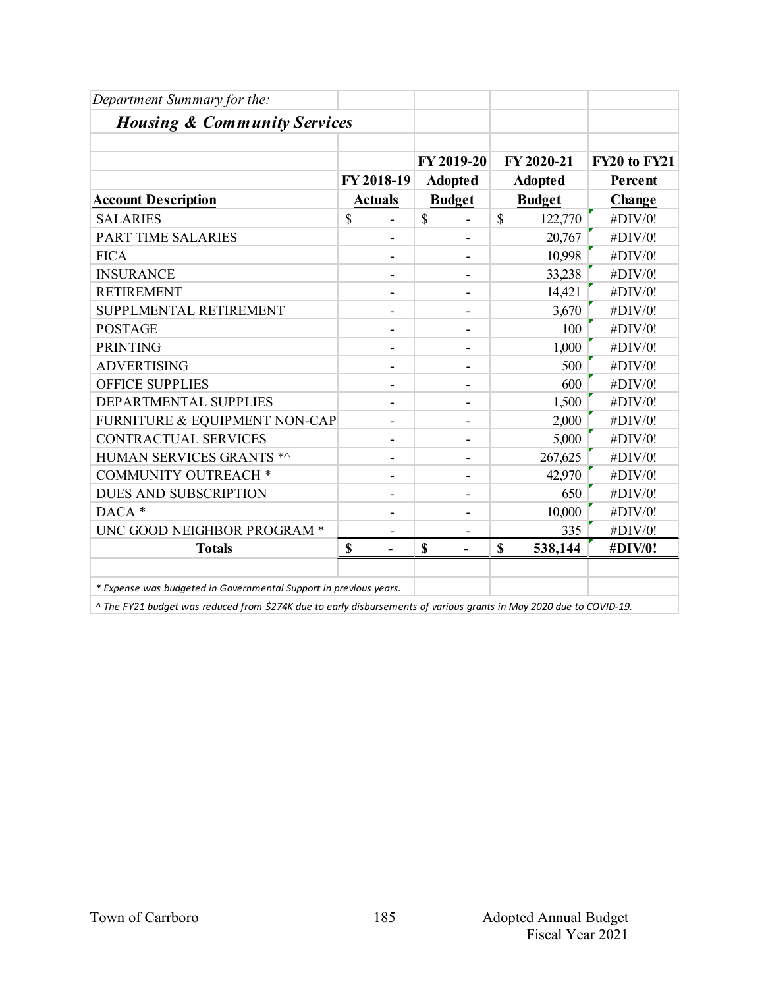| Department Summary for the:                                       |                              |                          |                        |              |
|-------------------------------------------------------------------|------------------------------|--------------------------|------------------------|--------------|
| <b>Housing &amp; Community Services</b>                           |                              |                          |                        |              |
|                                                                   |                              |                          |                        |              |
|                                                                   |                              | FY 2019-20               | FY 2020-21             | FY20 to FY21 |
|                                                                   | FY 2018-19                   | <b>Adopted</b>           | <b>Adopted</b>         | Percent      |
| <b>Account Description</b>                                        | <b>Actuals</b>               | <b>Budget</b>            | <b>Budget</b>          | Change       |
| <b>SALARIES</b>                                                   | \$                           | \$                       | \$<br>122,770          | #DIV/0!      |
| <b>PART TIME SALARIES</b>                                         |                              |                          | 20,767                 | #DIV/0!      |
| <b>FICA</b>                                                       |                              |                          | 10,998                 | #DIV/0!      |
| <b>INSURANCE</b>                                                  | $\overline{\phantom{0}}$     | ۰                        | 33,238                 | #DIV/0!      |
| <b>RETIREMENT</b>                                                 | $\qquad \qquad -$            |                          | 14,421                 | #DIV/0!      |
| SUPPLMENTAL RETIREMENT                                            | $\qquad \qquad -$            |                          | 3,670                  | #DIV/0!      |
| <b>POSTAGE</b>                                                    |                              |                          | 100                    | #DIV/0!      |
| <b>PRINTING</b>                                                   | ۰                            | $\overline{\phantom{a}}$ | 1,000                  | #DIV/0!      |
| <b>ADVERTISING</b>                                                |                              |                          | 500                    | #DIV/0!      |
| <b>OFFICE SUPPLIES</b>                                            |                              |                          | 600                    | #DIV/0!      |
| DEPARTMENTAL SUPPLIES                                             | $\overline{\phantom{0}}$     | ۰                        | 1,500                  | #DIV/0!      |
| FURNITURE & EQUIPMENT NON-CAP                                     |                              |                          | 2,000                  | #DIV/0!      |
| <b>CONTRACTUAL SERVICES</b>                                       |                              |                          | 5,000                  | #DIV/0!      |
| HUMAN SERVICES GRANTS *^                                          | $\qquad \qquad \blacksquare$ | $\blacksquare$           | 267,625                | #DIV/0!      |
| <b>COMMUNITY OUTREACH *</b>                                       | $\qquad \qquad -$            | $\overline{\phantom{0}}$ | 42,970                 | #DIV/0!      |
| <b>DUES AND SUBSCRIPTION</b>                                      |                              |                          | 650                    | #DIV/0!      |
| $DACA*$                                                           |                              |                          | 10,000                 | #DIV/0!      |
| UNC GOOD NEIGHBOR PROGRAM *                                       | $\qquad \qquad \blacksquare$ | -                        | 335                    | #DIV/0!      |
| <b>Totals</b>                                                     | $\mathbf S$                  | $\mathbf S$              | $\mathbf S$<br>538,144 | #DIV/0!      |
|                                                                   |                              |                          |                        |              |
| * Expense was budgeted in Governmental Support in previous years. |                              |                          |                        |              |

 *^ The FY21 budget was reduced from \$274K due to early disbursements of various grants in May 2020 due to COVID-19.*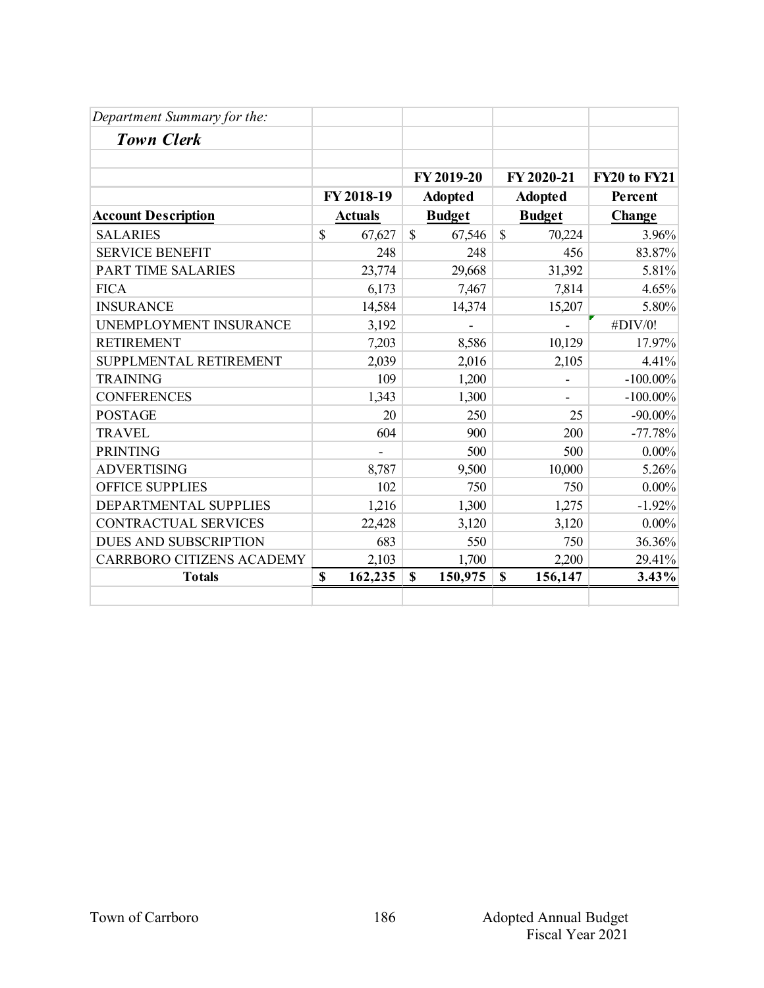| Department Summary for the:      |                        |                        |                          |                     |
|----------------------------------|------------------------|------------------------|--------------------------|---------------------|
| <b>Town Clerk</b>                |                        |                        |                          |                     |
|                                  |                        |                        |                          |                     |
|                                  |                        | FY 2019-20             | FY 2020-21               | <b>FY20 to FY21</b> |
|                                  | FY 2018-19             | <b>Adopted</b>         | <b>Adopted</b>           | Percent             |
| <b>Account Description</b>       | <b>Actuals</b>         | <b>Budget</b>          | <b>Budget</b>            | Change              |
| <b>SALARIES</b>                  | $\mathbb{S}$<br>67,627 | $\mathbb{S}$<br>67,546 | $\mathbb{S}$<br>70,224   | 3.96%               |
| <b>SERVICE BENEFIT</b>           | 248                    | 248                    | 456                      | 83.87%              |
| <b>PART TIME SALARIES</b>        | 23,774                 | 29,668                 | 31,392                   | 5.81%               |
| <b>FICA</b>                      | 6,173                  | 7,467                  | 7,814                    | 4.65%               |
| <b>INSURANCE</b>                 | 14,584                 | 14,374                 | 15,207                   | 5.80%               |
| UNEMPLOYMENT INSURANCE           | 3,192                  |                        |                          | #DIV/0!             |
| <b>RETIREMENT</b>                | 7,203                  | 8,586                  | 10,129                   | 17.97%              |
| SUPPLMENTAL RETIREMENT           | 2,039                  | 2,016                  | 2,105                    | 4.41%               |
| <b>TRAINING</b>                  | 109                    | 1,200                  | $\overline{\phantom{0}}$ | $-100.00\%$         |
| <b>CONFERENCES</b>               | 1,343                  | 1,300                  |                          | $-100.00\%$         |
| <b>POSTAGE</b>                   | 20                     | 250                    | 25                       | $-90.00\%$          |
| <b>TRAVEL</b>                    | 604                    | 900                    | 200                      | $-77.78%$           |
| <b>PRINTING</b>                  |                        | 500                    | 500                      | $0.00\%$            |
| <b>ADVERTISING</b>               | 8,787                  | 9,500                  | 10,000                   | 5.26%               |
| <b>OFFICE SUPPLIES</b>           | 102                    | 750                    | 750                      | $0.00\%$            |
| DEPARTMENTAL SUPPLIES            | 1,216                  | 1,300                  | 1,275                    | $-1.92%$            |
| <b>CONTRACTUAL SERVICES</b>      | 22,428                 | 3,120                  | 3,120                    | $0.00\%$            |
| DUES AND SUBSCRIPTION            | 683                    | 550                    | 750                      | 36.36%              |
| <b>CARRBORO CITIZENS ACADEMY</b> | 2,103                  | 1,700                  | 2,200                    | 29.41%              |
| <b>Totals</b>                    | \$<br>162,235          | \$<br>150,975          | \$<br>156,147            | 3.43%               |
|                                  |                        |                        |                          |                     |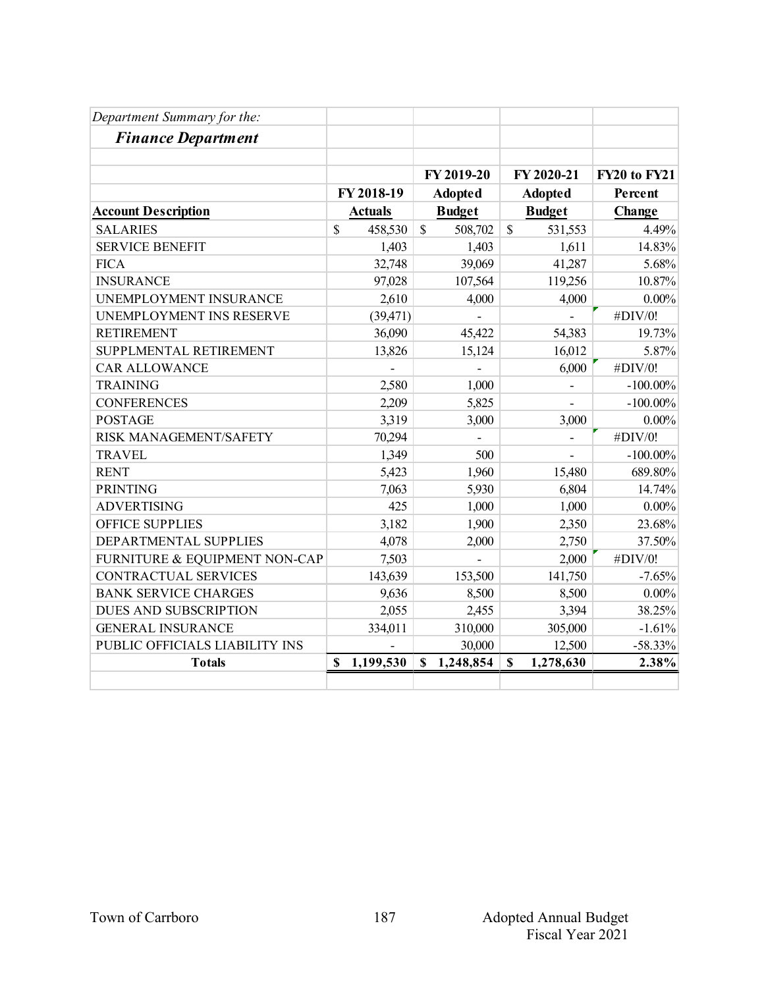| Department Summary for the:    |    |                |                |               |                |                |              |
|--------------------------------|----|----------------|----------------|---------------|----------------|----------------|--------------|
| <b>Finance Department</b>      |    |                |                |               |                |                |              |
|                                |    |                |                | FY 2019-20    |                | FY 2020-21     | FY20 to FY21 |
|                                |    | FY 2018-19     | <b>Adopted</b> |               | <b>Adopted</b> |                | Percent      |
| <b>Account Description</b>     |    | <b>Actuals</b> |                | <b>Budget</b> | <b>Budget</b>  |                | Change       |
| <b>SALARIES</b>                | \$ | 458,530        | $\mathbf S$    | 508,702       | $\mathcal{S}$  | 531,553        | 4.49%        |
| <b>SERVICE BENEFIT</b>         |    | 1,403          |                | 1,403         |                | 1,611          | 14.83%       |
| <b>FICA</b>                    |    | 32,748         |                | 39,069        |                | 41,287         | 5.68%        |
| <b>INSURANCE</b>               |    | 97,028         |                | 107,564       |                | 119,256        | 10.87%       |
| UNEMPLOYMENT INSURANCE         |    | 2,610          |                | 4,000         |                | 4,000          | $0.00\%$     |
| UNEMPLOYMENT INS RESERVE       |    | (39, 471)      |                |               |                |                | #DIV/0!      |
| <b>RETIREMENT</b>              |    | 36,090         |                | 45,422        |                | 54,383         | 19.73%       |
| SUPPLMENTAL RETIREMENT         |    | 13,826         |                | 15,124        |                | 16,012         | 5.87%        |
| <b>CAR ALLOWANCE</b>           |    |                |                |               |                | 6,000          | #DIV/0!      |
| <b>TRAINING</b>                |    | 2,580          |                | 1,000         |                |                | $-100.00\%$  |
| <b>CONFERENCES</b>             |    | 2,209          |                | 5,825         |                |                | $-100.00\%$  |
| <b>POSTAGE</b>                 |    | 3,319          |                | 3,000         |                | 3,000          | $0.00\%$     |
| RISK MANAGEMENT/SAFETY         |    | 70,294         |                |               |                | $\overline{a}$ | #DIV/0!      |
| <b>TRAVEL</b>                  |    | 1,349          |                | 500           |                |                | $-100.00\%$  |
| <b>RENT</b>                    |    | 5,423          |                | 1,960         |                | 15,480         | 689.80%      |
| <b>PRINTING</b>                |    | 7,063          |                | 5,930         |                | 6,804          | 14.74%       |
| <b>ADVERTISING</b>             |    | 425            |                | 1,000         |                | 1,000          | $0.00\%$     |
| <b>OFFICE SUPPLIES</b>         |    | 3,182          |                | 1,900         |                | 2,350          | 23.68%       |
| DEPARTMENTAL SUPPLIES          |    | 4,078          |                | 2,000         |                | 2,750          | 37.50%       |
| FURNITURE & EQUIPMENT NON-CAP  |    | 7,503          |                |               |                | 2,000          | #DIV/0!      |
| CONTRACTUAL SERVICES           |    | 143,639        |                | 153,500       |                | 141,750        | $-7.65%$     |
| <b>BANK SERVICE CHARGES</b>    |    | 9,636          |                | 8,500         |                | 8,500          | $0.00\%$     |
| <b>DUES AND SUBSCRIPTION</b>   |    | 2,055          |                | 2,455         |                | 3,394          | 38.25%       |
| <b>GENERAL INSURANCE</b>       |    | 334,011        |                | 310,000       |                | 305,000        | $-1.61%$     |
| PUBLIC OFFICIALS LIABILITY INS |    |                |                | 30,000        |                | 12,500         | $-58.33%$    |
| <b>Totals</b>                  | S  | 1,199,530      | \$             | 1,248,854     | $\mathbf{s}$   | 1,278,630      | 2.38%        |
|                                |    |                |                |               |                |                |              |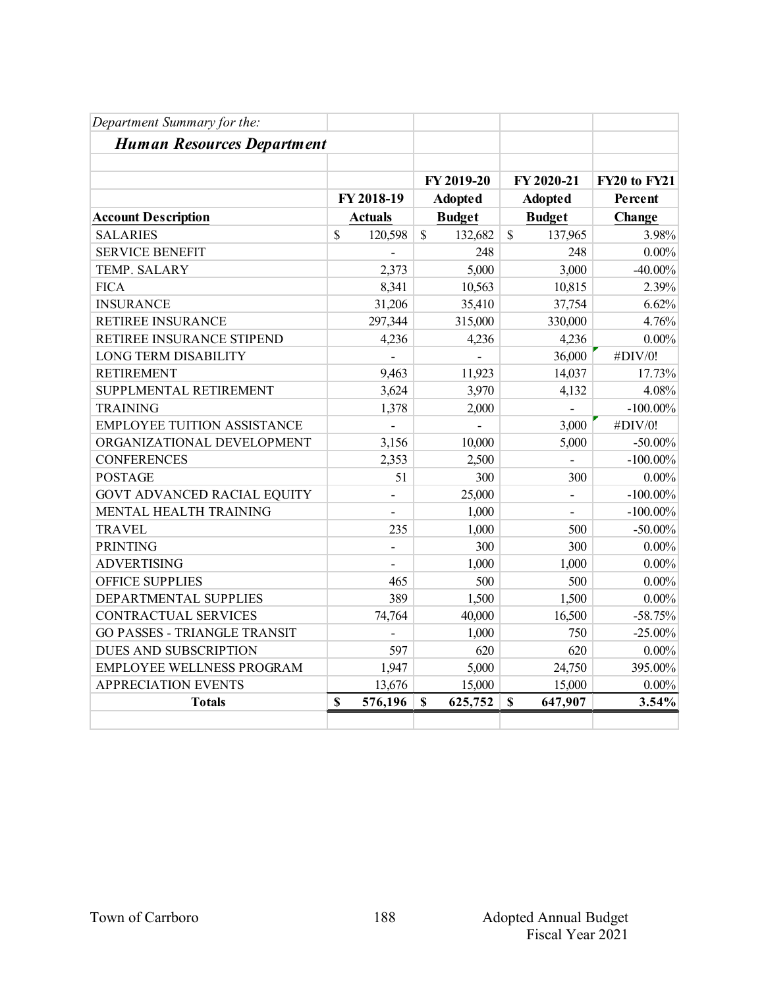| Department Summary for the:         |              |                |              |                |               |                |              |
|-------------------------------------|--------------|----------------|--------------|----------------|---------------|----------------|--------------|
| <b>Human Resources Department</b>   |              |                |              |                |               |                |              |
|                                     |              |                |              | FY 2019-20     |               | FY 2020-21     | FY20 to FY21 |
|                                     |              | FY 2018-19     |              | <b>Adopted</b> |               | <b>Adopted</b> | Percent      |
| <b>Account Description</b>          |              | <b>Actuals</b> |              | <b>Budget</b>  |               | <b>Budget</b>  | Change       |
| <b>SALARIES</b>                     | $\mathbb{S}$ | 120,598        | $\mathbb{S}$ | 132,682        | $\mathcal{S}$ | 137,965        | 3.98%        |
| <b>SERVICE BENEFIT</b>              |              |                |              | 248            |               | 248            | $0.00\%$     |
| TEMP. SALARY                        |              | 2,373          |              | 5,000          |               | 3,000          | $-40.00\%$   |
| <b>FICA</b>                         |              | 8,341          |              | 10,563         |               | 10,815         | 2.39%        |
| <b>INSURANCE</b>                    |              | 31,206         |              | 35,410         |               | 37,754         | 6.62%        |
| RETIREE INSURANCE                   |              | 297,344        |              | 315,000        |               | 330,000        | 4.76%        |
| RETIREE INSURANCE STIPEND           |              | 4,236          |              | 4,236          |               | 4,236          | $0.00\%$     |
| <b>LONG TERM DISABILITY</b>         |              |                |              |                |               | 36,000         | #DIV/0!      |
| <b>RETIREMENT</b>                   |              | 9,463          |              | 11,923         |               | 14,037         | 17.73%       |
| SUPPLMENTAL RETIREMENT              |              | 3,624          |              | 3,970          |               | 4,132          | 4.08%        |
| <b>TRAINING</b>                     |              | 1,378          |              | 2,000          |               | $\overline{a}$ | $-100.00\%$  |
| <b>EMPLOYEE TUITION ASSISTANCE</b>  |              |                |              |                |               | 3,000          | #DIV/0!      |
| ORGANIZATIONAL DEVELOPMENT          |              | 3,156          |              | 10,000         |               | 5,000          | $-50.00\%$   |
| <b>CONFERENCES</b>                  |              | 2,353          |              | 2,500          |               | $\overline{a}$ | $-100.00\%$  |
| <b>POSTAGE</b>                      |              | 51             |              | 300            |               | 300            | $0.00\%$     |
| <b>GOVT ADVANCED RACIAL EQUITY</b>  |              |                |              | 25,000         |               | $\overline{a}$ | $-100.00\%$  |
| MENTAL HEALTH TRAINING              |              |                |              | 1,000          |               |                | $-100.00\%$  |
| <b>TRAVEL</b>                       |              | 235            |              | 1,000          |               | 500            | $-50.00\%$   |
| <b>PRINTING</b>                     |              | $\frac{1}{2}$  |              | 300            |               | 300            | $0.00\%$     |
| <b>ADVERTISING</b>                  |              |                |              | 1,000          |               | 1,000          | $0.00\%$     |
| <b>OFFICE SUPPLIES</b>              |              | 465            |              | 500            |               | 500            | $0.00\%$     |
| DEPARTMENTAL SUPPLIES               |              | 389            |              | 1,500          |               | 1,500          | $0.00\%$     |
| CONTRACTUAL SERVICES                |              | 74,764         |              | 40,000         |               | 16,500         | $-58.75%$    |
| <b>GO PASSES - TRIANGLE TRANSIT</b> |              |                |              | 1,000          |               | 750            | $-25.00%$    |
| DUES AND SUBSCRIPTION               |              | 597            |              | 620            |               | 620            | $0.00\%$     |
| <b>EMPLOYEE WELLNESS PROGRAM</b>    |              | 1,947          |              | 5,000          |               | 24,750         | 395.00%      |
| <b>APPRECIATION EVENTS</b>          |              | 13,676         |              | 15,000         |               | 15,000         | $0.00\%$     |
| <b>Totals</b>                       | $\mathbf S$  | 576,196        | $\mathbf S$  | 625,752        | $\mathbf S$   | 647,907        | 3.54%        |
|                                     |              |                |              |                |               |                |              |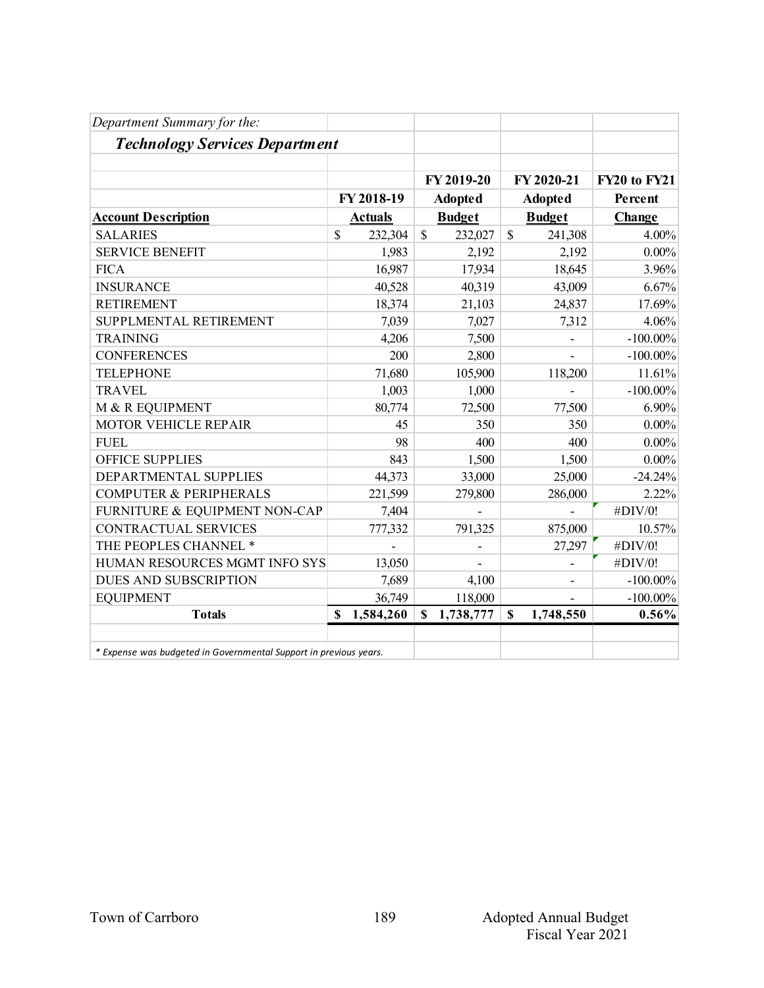| Department Summary for the:                                       |    |                |              |               |              |                |              |
|-------------------------------------------------------------------|----|----------------|--------------|---------------|--------------|----------------|--------------|
| <b>Technology Services Department</b>                             |    |                |              |               |              |                |              |
|                                                                   |    |                |              | FY 2019-20    |              | FY 2020-21     | FY20 to FY21 |
|                                                                   |    | FY 2018-19     |              | Adopted       |              | <b>Adopted</b> | Percent      |
| <b>Account Description</b>                                        |    | <b>Actuals</b> |              | <b>Budget</b> |              | <b>Budget</b>  | Change       |
| <b>SALARIES</b>                                                   | \$ | 232,304        | $\mathbb{S}$ | 232,027       | $\mathbb{S}$ | 241,308        | 4.00%        |
| <b>SERVICE BENEFIT</b>                                            |    | 1,983          |              | 2,192         |              | 2,192          | $0.00\%$     |
| <b>FICA</b>                                                       |    | 16,987         |              | 17,934        |              | 18,645         | 3.96%        |
| <b>INSURANCE</b>                                                  |    | 40,528         |              | 40,319        |              | 43,009         | 6.67%        |
| <b>RETIREMENT</b>                                                 |    | 18,374         |              | 21,103        |              | 24,837         | 17.69%       |
| SUPPLMENTAL RETIREMENT                                            |    | 7,039          |              | 7,027         |              | 7,312          | 4.06%        |
| <b>TRAINING</b>                                                   |    | 4,206          |              | 7,500         |              |                | $-100.00\%$  |
| <b>CONFERENCES</b>                                                |    | 200            |              | 2,800         |              |                | $-100.00\%$  |
| <b>TELEPHONE</b>                                                  |    | 71,680         |              | 105,900       |              | 118,200        | 11.61%       |
| <b>TRAVEL</b>                                                     |    | 1,003          |              | 1,000         |              |                | $-100.00\%$  |
| M & R EQUIPMENT                                                   |    | 80,774         |              | 72,500        |              | 77,500         | 6.90%        |
| <b>MOTOR VEHICLE REPAIR</b>                                       |    | 45             |              | 350           |              | 350            | $0.00\%$     |
| <b>FUEL</b>                                                       |    | 98             |              | 400           |              | 400            | $0.00\%$     |
| <b>OFFICE SUPPLIES</b>                                            |    | 843            |              | 1,500         |              | 1,500          | $0.00\%$     |
| DEPARTMENTAL SUPPLIES                                             |    | 44,373         |              | 33,000        |              | 25,000         | $-24.24%$    |
| <b>COMPUTER &amp; PERIPHERALS</b>                                 |    | 221,599        |              | 279,800       |              | 286,000        | 2.22%        |
| FURNITURE & EQUIPMENT NON-CAP                                     |    | 7,404          |              |               |              |                | #DIV/0!      |
| <b>CONTRACTUAL SERVICES</b>                                       |    | 777,332        |              | 791,325       |              | 875,000        | 10.57%       |
| THE PEOPLES CHANNEL *                                             |    |                |              |               |              | 27,297         | #DIV/0!      |
| HUMAN RESOURCES MGMT INFO SYS                                     |    | 13,050         |              |               |              | $\overline{a}$ | #DIV/0!      |
| DUES AND SUBSCRIPTION                                             |    | 7,689          |              | 4,100         |              |                | $-100.00\%$  |
| <b>EQUIPMENT</b>                                                  |    | 36,749         |              | 118,000       |              |                | $-100.00\%$  |
| <b>Totals</b>                                                     | S  | 1,584,260      | $\mathbf S$  | 1,738,777     | \$           | 1,748,550      | 0.56%        |
|                                                                   |    |                |              |               |              |                |              |
| * Expense was budgeted in Governmental Support in previous years. |    |                |              |               |              |                |              |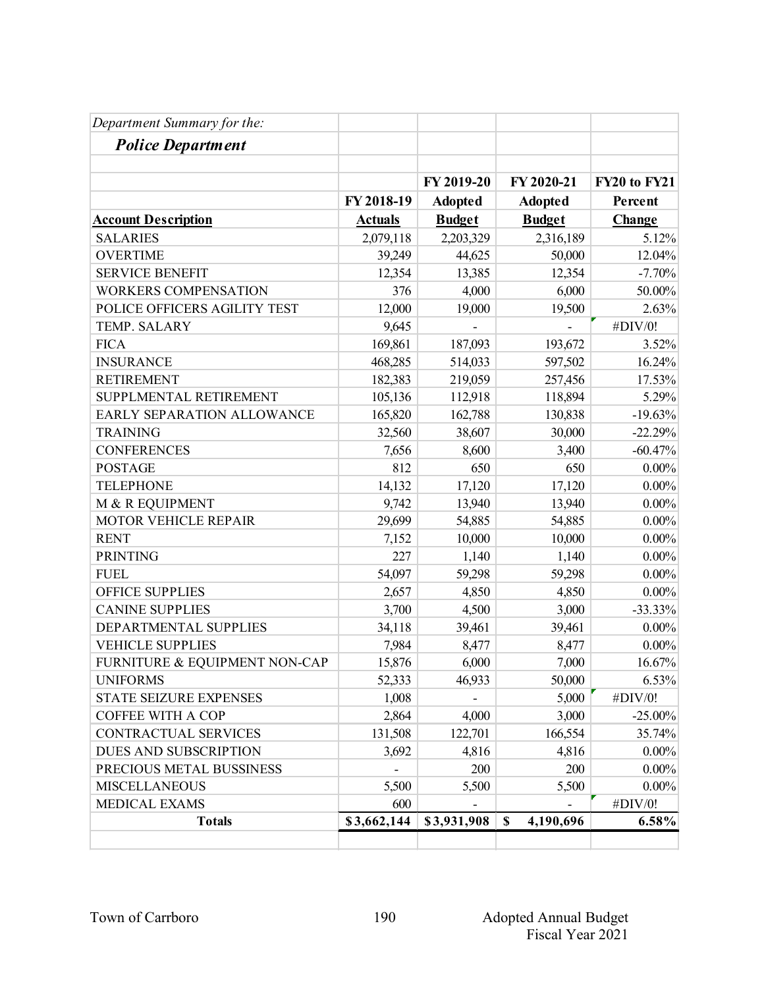| Department Summary for the:   |             |                |                                        |              |
|-------------------------------|-------------|----------------|----------------------------------------|--------------|
| <b>Police Department</b>      |             |                |                                        |              |
|                               |             |                |                                        |              |
|                               |             | FY 2019-20     | FY 2020-21                             | FY20 to FY21 |
|                               | FY 2018-19  | <b>Adopted</b> | <b>Adopted</b>                         | Percent      |
| <b>Account Description</b>    | Actuals     | <b>Budget</b>  | <b>Budget</b>                          | Change       |
| <b>SALARIES</b>               | 2,079,118   | 2,203,329      | 2,316,189                              | 5.12%        |
| <b>OVERTIME</b>               | 39,249      | 44,625         | 50,000                                 | 12.04%       |
| <b>SERVICE BENEFIT</b>        | 12,354      | 13,385         | 12,354                                 | $-7.70%$     |
| <b>WORKERS COMPENSATION</b>   | 376         | 4,000          | 6,000                                  | 50.00%       |
| POLICE OFFICERS AGILITY TEST  | 12,000      | 19,000         | 19,500                                 | 2.63%        |
| TEMP. SALARY                  | 9,645       |                |                                        | #DIV/0!      |
| <b>FICA</b>                   | 169,861     | 187,093        | 193,672                                | 3.52%        |
| <b>INSURANCE</b>              | 468,285     | 514,033        | 597,502                                | 16.24%       |
| <b>RETIREMENT</b>             | 182,383     | 219,059        | 257,456                                | 17.53%       |
| SUPPLMENTAL RETIREMENT        | 105,136     | 112,918        | 118,894                                | 5.29%        |
| EARLY SEPARATION ALLOWANCE    | 165,820     | 162,788        | 130,838                                | $-19.63%$    |
| <b>TRAINING</b>               | 32,560      | 38,607         | 30,000                                 | $-22.29%$    |
| <b>CONFERENCES</b>            | 7,656       | 8,600          | 3,400                                  | $-60.47%$    |
| <b>POSTAGE</b>                | 812         | 650            | 650                                    | $0.00\%$     |
| <b>TELEPHONE</b>              | 14,132      | 17,120         | 17,120                                 | $0.00\%$     |
| M & R EQUIPMENT               | 9,742       | 13,940         | 13,940                                 | $0.00\%$     |
| MOTOR VEHICLE REPAIR          | 29,699      | 54,885         | 54,885                                 | $0.00\%$     |
| <b>RENT</b>                   | 7,152       | 10,000         | 10,000                                 | $0.00\%$     |
| <b>PRINTING</b>               | 227         | 1,140          | 1,140                                  | $0.00\%$     |
| <b>FUEL</b>                   | 54,097      | 59,298         | 59,298                                 | $0.00\%$     |
| <b>OFFICE SUPPLIES</b>        | 2,657       | 4,850          | 4,850                                  | $0.00\%$     |
| <b>CANINE SUPPLIES</b>        | 3,700       | 4,500          | 3,000                                  | $-33.33%$    |
| DEPARTMENTAL SUPPLIES         | 34,118      | 39,461         | 39,461                                 | $0.00\%$     |
| <b>VEHICLE SUPPLIES</b>       | 7,984       | 8,477          | 8,477                                  | $0.00\%$     |
| FURNITURE & EQUIPMENT NON-CAP | 15,876      | 6,000          | 7,000                                  | 16.67%       |
| <b>UNIFORMS</b>               | 52,333      | 46,933         | 50,000                                 | 6.53%        |
| STATE SEIZURE EXPENSES        | 1,008       |                | 5,000                                  | #DIV/0!      |
| <b>COFFEE WITH A COP</b>      | 2,864       | 4,000          | 3,000                                  | $-25.00%$    |
| CONTRACTUAL SERVICES          | 131,508     | 122,701        | 166,554                                | 35.74%       |
| DUES AND SUBSCRIPTION         | 3,692       | 4,816          | 4,816                                  | $0.00\%$     |
| PRECIOUS METAL BUSSINESS      |             | 200            | 200                                    | $0.00\%$     |
| <b>MISCELLANEOUS</b>          | 5,500       | 5,500          | 5,500                                  | $0.00\%$     |
| MEDICAL EXAMS                 | 600         |                |                                        | #DIV/0!      |
| <b>Totals</b>                 | \$3,662,144 | \$3,931,908    | 4,190,696<br>$\boldsymbol{\mathsf{S}}$ | 6.58%        |
|                               |             |                |                                        |              |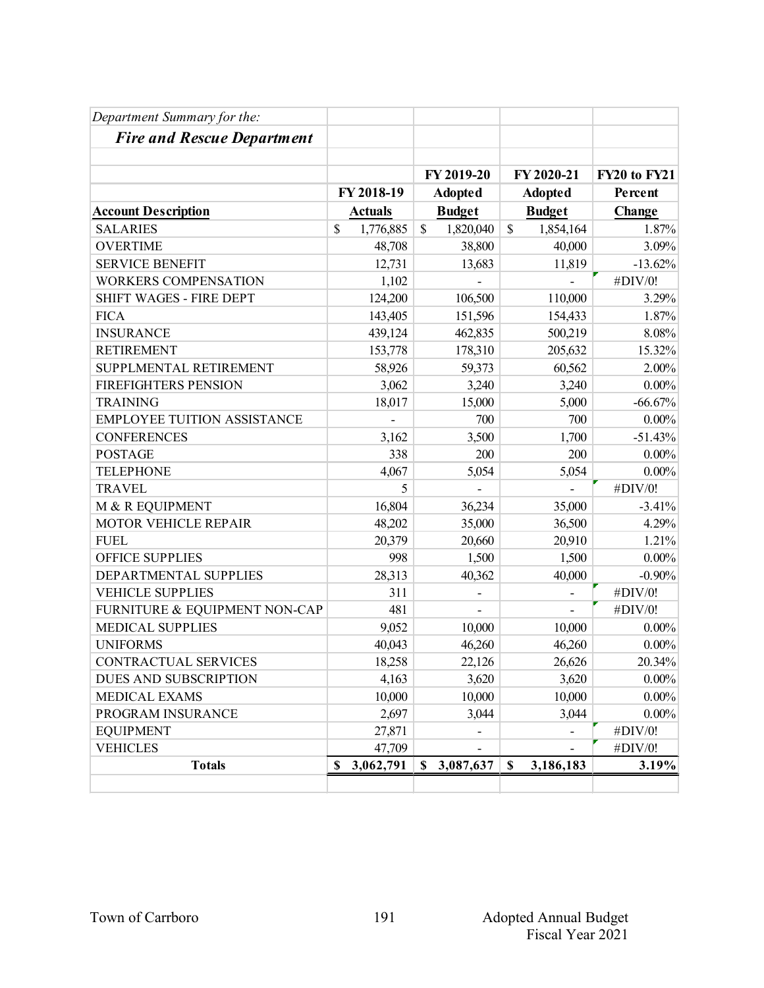| Department Summary for the:        |                 |                           |                          |                     |
|------------------------------------|-----------------|---------------------------|--------------------------|---------------------|
| <b>Fire and Rescue Department</b>  |                 |                           |                          |                     |
|                                    |                 |                           |                          |                     |
|                                    |                 | FY 2019-20                | FY 2020-21               | <b>FY20 to FY21</b> |
|                                    | FY 2018-19      | <b>Adopted</b>            | <b>Adopted</b>           | Percent             |
| <b>Account Description</b>         | <b>Actuals</b>  | <b>Budget</b>             | <b>Budget</b>            | Change              |
| <b>SALARIES</b>                    | \$<br>1,776,885 | $\mathbb{S}$<br>1,820,040 | \$<br>1,854,164          | 1.87%               |
| <b>OVERTIME</b>                    | 48,708          | 38,800                    | 40,000                   | 3.09%               |
| <b>SERVICE BENEFIT</b>             | 12,731          | 13,683                    | 11,819                   | $-13.62%$           |
| <b>WORKERS COMPENSATION</b>        | 1,102           |                           |                          | #DIV/0!             |
| SHIFT WAGES - FIRE DEPT            | 124,200         | 106,500                   | 110,000                  | 3.29%               |
| <b>FICA</b>                        | 143,405         | 151,596                   | 154,433                  | 1.87%               |
| <b>INSURANCE</b>                   | 439,124         | 462,835                   | 500,219                  | 8.08%               |
| <b>RETIREMENT</b>                  | 153,778         | 178,310                   | 205,632                  | 15.32%              |
| SUPPLMENTAL RETIREMENT             | 58,926          | 59,373                    | 60,562                   | 2.00%               |
| <b>FIREFIGHTERS PENSION</b>        | 3,062           | 3,240                     | 3,240                    | $0.00\%$            |
| <b>TRAINING</b>                    | 18,017          | 15,000                    | 5,000                    | $-66.67%$           |
| <b>EMPLOYEE TUITION ASSISTANCE</b> |                 | 700                       | 700                      | $0.00\%$            |
| <b>CONFERENCES</b>                 | 3,162           | 3,500                     | 1,700                    | $-51.43%$           |
| <b>POSTAGE</b>                     | 338             | 200                       | 200                      | $0.00\%$            |
| <b>TELEPHONE</b>                   | 4,067           | 5,054                     | 5,054                    | $0.00\%$            |
| <b>TRAVEL</b>                      | 5               |                           |                          | #DIV/0!             |
| M & R EQUIPMENT                    | 16,804          | 36,234                    | 35,000                   | $-3.41%$            |
| MOTOR VEHICLE REPAIR               | 48,202          | 35,000                    | 36,500                   | 4.29%               |
| <b>FUEL</b>                        | 20,379          | 20,660                    | 20,910                   | 1.21%               |
| <b>OFFICE SUPPLIES</b>             | 998             | 1,500                     | 1,500                    | $0.00\%$            |
| DEPARTMENTAL SUPPLIES              | 28,313          | 40,362                    | 40,000                   | $-0.90%$            |
| <b>VEHICLE SUPPLIES</b>            | 311             |                           |                          | #DIV/0!             |
| FURNITURE & EQUIPMENT NON-CAP      | 481             |                           | $\overline{\phantom{0}}$ | #DIV/0!             |
| <b>MEDICAL SUPPLIES</b>            | 9,052           | 10,000                    | 10,000                   | $0.00\%$            |
| <b>UNIFORMS</b>                    | 40,043          | 46,260                    | 46,260                   | $0.00\%$            |
| <b>CONTRACTUAL SERVICES</b>        | 18,258          | 22,126                    | 26,626                   | 20.34%              |
| DUES AND SUBSCRIPTION              | 4,163           | 3,620                     | 3,620                    | $0.00\%$            |
| MEDICAL EXAMS                      | 10,000          | 10,000                    | 10,000                   | $0.00\%$            |
| PROGRAM INSURANCE                  | 2,697           | 3,044                     | 3,044                    | $0.00\%$            |
| <b>EQUIPMENT</b>                   | 27,871          |                           |                          | #DIV/0!             |
| <b>VEHICLES</b>                    | 47,709          |                           |                          | #DIV/0!             |
| <b>Totals</b>                      | 3,062,791<br>\$ | 3,087,637<br>S            | $\mathbf S$<br>3,186,183 | 3.19%               |
|                                    |                 |                           |                          |                     |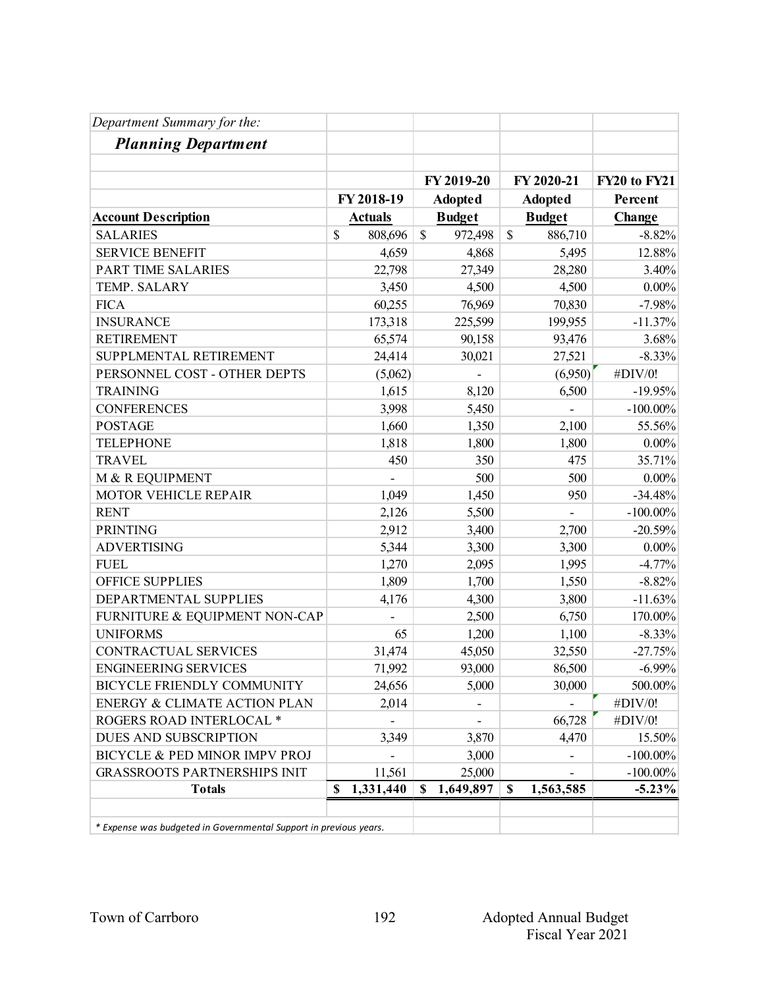| Department Summary for the:                                       |                 |                              |              |                |              |
|-------------------------------------------------------------------|-----------------|------------------------------|--------------|----------------|--------------|
| <b>Planning Department</b>                                        |                 |                              |              |                |              |
|                                                                   |                 | FY 2019-20                   |              | FY 2020-21     | FY20 to FY21 |
|                                                                   | FY 2018-19      | <b>Adopted</b>               |              | <b>Adopted</b> | Percent      |
| <b>Account Description</b>                                        | <b>Actuals</b>  | <b>Budget</b>                |              | <b>Budget</b>  | Change       |
| <b>SALARIES</b>                                                   | \$<br>808,696   | \$<br>972,498                | $\mathbb{S}$ | 886,710        | $-8.82%$     |
| <b>SERVICE BENEFIT</b>                                            | 4,659           | 4,868                        |              | 5,495          | 12.88%       |
| PART TIME SALARIES                                                | 22,798          | 27,349                       |              | 28,280         | 3.40%        |
| TEMP. SALARY                                                      | 3,450           | 4,500                        |              | 4,500          | $0.00\%$     |
| <b>FICA</b>                                                       | 60,255          | 76,969                       |              | 70,830         | $-7.98%$     |
| <b>INSURANCE</b>                                                  | 173,318         | 225,599                      |              | 199,955        | $-11.37%$    |
| <b>RETIREMENT</b>                                                 | 65,574          | 90,158                       |              | 93,476         | 3.68%        |
| SUPPLMENTAL RETIREMENT                                            | 24,414          | 30,021                       |              | 27,521         | $-8.33%$     |
| PERSONNEL COST - OTHER DEPTS                                      | (5,062)         |                              |              | (6,950)        | #DIV/0!      |
| <b>TRAINING</b>                                                   | 1,615           | 8,120                        |              | 6,500          | $-19.95%$    |
| <b>CONFERENCES</b>                                                | 3,998           | 5,450                        |              |                | $-100.00\%$  |
| <b>POSTAGE</b>                                                    | 1,660           | 1,350                        |              | 2,100          | 55.56%       |
| <b>TELEPHONE</b>                                                  | 1,818           | 1,800                        |              | 1,800          | $0.00\%$     |
| <b>TRAVEL</b>                                                     | 450             | 350                          |              | 475            | 35.71%       |
| M & R EQUIPMENT                                                   |                 | 500                          |              | 500            | $0.00\%$     |
| MOTOR VEHICLE REPAIR                                              | 1,049           | 1,450                        |              | 950            | $-34.48%$    |
| <b>RENT</b>                                                       | 2,126           | 5,500                        |              | $\overline{a}$ | $-100.00\%$  |
| <b>PRINTING</b>                                                   | 2,912           | 3,400                        |              | 2,700          | $-20.59%$    |
| <b>ADVERTISING</b>                                                | 5,344           | 3,300                        |              | 3,300          | $0.00\%$     |
| <b>FUEL</b>                                                       | 1,270           | 2,095                        |              | 1,995          | $-4.77%$     |
| <b>OFFICE SUPPLIES</b>                                            | 1,809           | 1,700                        |              | 1,550          | $-8.82%$     |
| DEPARTMENTAL SUPPLIES                                             | 4,176           | 4,300                        |              | 3,800          | $-11.63%$    |
| FURNITURE & EQUIPMENT NON-CAP                                     |                 | 2,500                        |              | 6,750          | 170.00%      |
| <b>UNIFORMS</b>                                                   | 65              | 1,200                        |              | 1,100          | $-8.33%$     |
| CONTRACTUAL SERVICES                                              | 31,474          | 45,050                       |              | 32,550         | $-27.75%$    |
| <b>ENGINEERING SERVICES</b>                                       | 71,992          | 93,000                       |              | 86,500         | $-6.99\%$    |
| BICYCLE FRIENDLY COMMUNITY                                        | 24,656          | 5,000                        |              | 30,000         | 500.00%      |
| ENERGY & CLIMATE ACTION PLAN                                      | 2,014           | $\qquad \qquad \blacksquare$ |              |                | #DIV/0!      |
| ROGERS ROAD INTERLOCAL *                                          |                 |                              |              | 66,728         | #DIV/0!      |
| DUES AND SUBSCRIPTION                                             | 3,349           | 3,870                        |              | 4,470          | 15.50%       |
| BICYCLE & PED MINOR IMPV PROJ                                     |                 | 3,000                        |              |                | $-100.00\%$  |
| <b>GRASSROOTS PARTNERSHIPS INIT</b>                               | 11,561          | 25,000                       |              |                | $-100.00\%$  |
| <b>Totals</b>                                                     | \$<br>1,331,440 | \$<br>1,649,897              | \$           | 1,563,585      | $-5.23\%$    |
| * Expense was budgeted in Governmental Support in previous years. |                 |                              |              |                |              |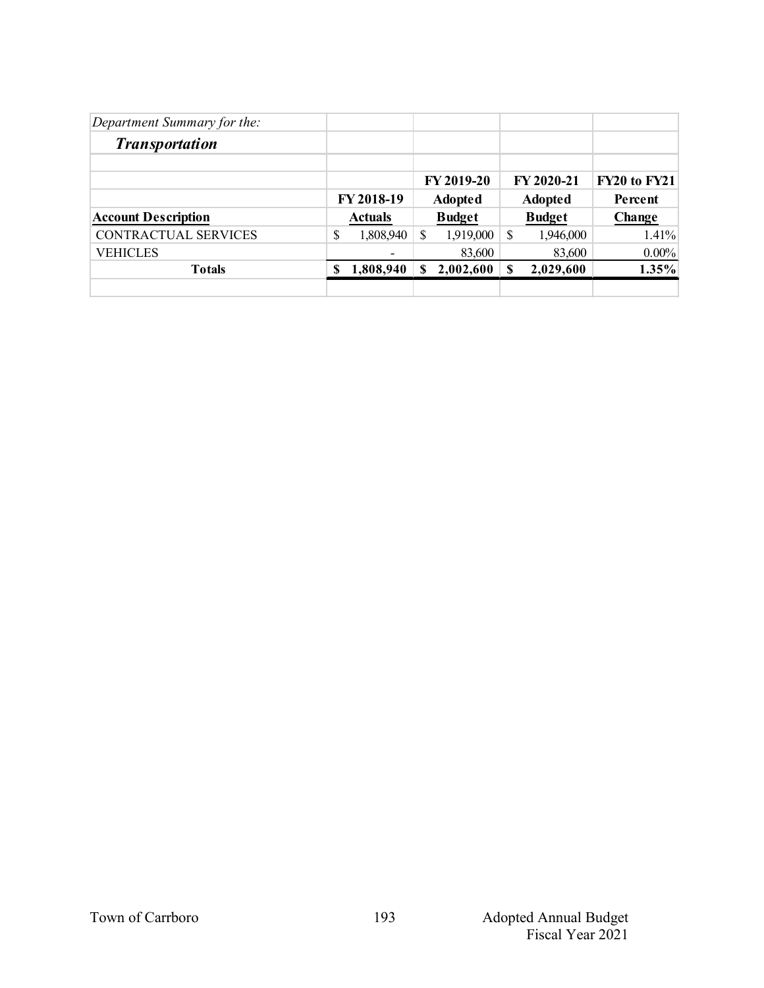| Department Summary for the: |   |                          |    |                   |   |                |              |
|-----------------------------|---|--------------------------|----|-------------------|---|----------------|--------------|
| <b>Transportation</b>       |   |                          |    |                   |   |                |              |
|                             |   |                          |    | <b>FY 2019-20</b> |   | FY 2020-21     | FY20 to FY21 |
|                             |   | FY 2018-19               |    | <b>Adopted</b>    |   | <b>Adopted</b> | Percent      |
| <b>Account Description</b>  |   | <b>Actuals</b>           |    | <b>Budget</b>     |   | <b>Budget</b>  | Change       |
| CONTRACTUAL SERVICES        | S | 1,808,940                | \$ | 1,919,000         | S | 1,946,000      | $1.41\%$     |
| <b>VEHICLES</b>             |   | $\overline{\phantom{a}}$ |    | 83,600            |   | 83,600         | $0.00\%$     |
| <b>Totals</b>               | S | 1,808,940                | S  | 2,002,600         |   | 2,029,600      | 1.35%        |
|                             |   |                          |    |                   |   |                |              |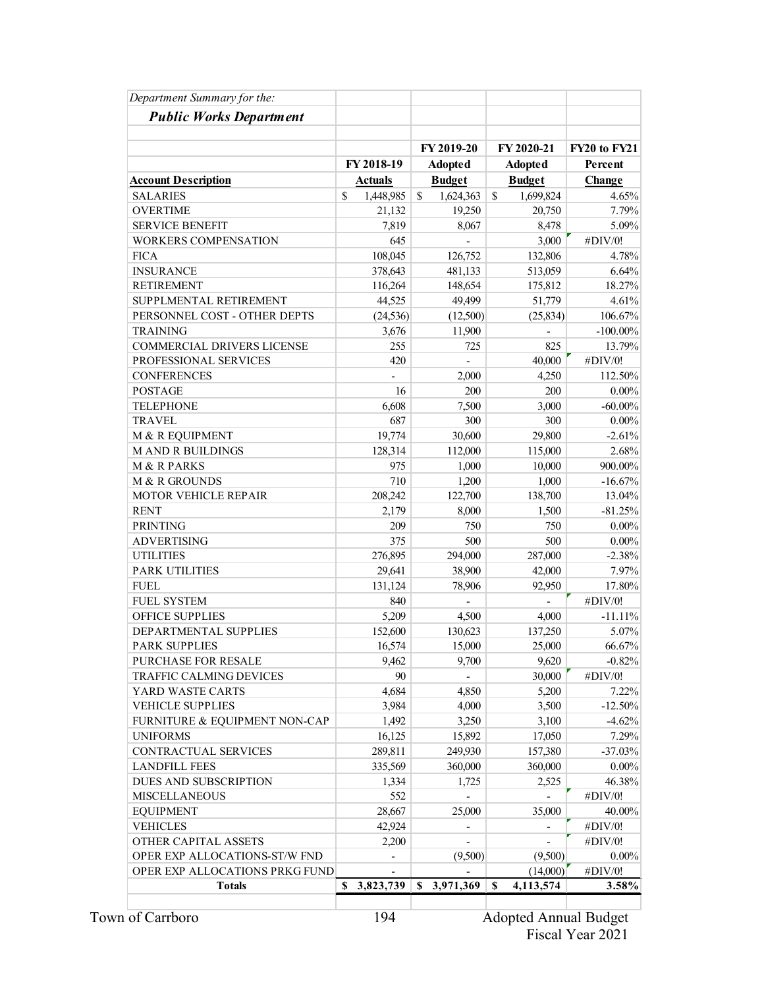| Department Summary for the:    |                 |                          |                 |                     |
|--------------------------------|-----------------|--------------------------|-----------------|---------------------|
| <b>Public Works Department</b> |                 |                          |                 |                     |
|                                |                 |                          |                 |                     |
|                                |                 | FY 2019-20               | FY 2020-21      | <b>FY20 to FY21</b> |
|                                | FY 2018-19      | <b>Adopted</b>           | <b>Adopted</b>  | Percent             |
| <b>Account Description</b>     | <u>Actuals</u>  | <b>Budget</b>            | <b>Budget</b>   | Change              |
| <b>SALARIES</b>                | \$<br>1,448,985 | \$<br>1,624,363          | \$<br>1,699,824 | 4.65%               |
| <b>OVERTIME</b>                | 21,132          | 19,250                   | 20,750          | 7.79%               |
| <b>SERVICE BENEFIT</b>         | 7,819           | 8,067                    | 8,478           | 5.09%               |
| <b>WORKERS COMPENSATION</b>    | 645             |                          | 3,000           | #DIV/0!             |
| <b>FICA</b>                    | 108,045         | 126,752                  | 132,806         | 4.78%               |
| <b>INSURANCE</b>               | 378,643         | 481,133                  | 513,059         | 6.64%               |
| <b>RETIREMENT</b>              | 116,264         | 148,654                  | 175,812         | 18.27%              |
| SUPPLMENTAL RETIREMENT         | 44,525          | 49,499                   | 51,779          | 4.61%               |
| PERSONNEL COST - OTHER DEPTS   | (24, 536)       | (12,500)                 | (25, 834)       | 106.67%             |
| <b>TRAINING</b>                | 3,676           | 11,900                   |                 | $-100.00\%$         |
| COMMERCIAL DRIVERS LICENSE     | 255             | 725                      | 825             | 13.79%              |
| PROFESSIONAL SERVICES          | 420             |                          | 40,000          | #DIV/0!             |
| <b>CONFERENCES</b>             |                 | 2,000                    | 4,250           | 112.50%             |
| <b>POSTAGE</b>                 | 16              | 200                      | 200             | $0.00\%$            |
| <b>TELEPHONE</b>               | 6,608           | 7,500                    | 3,000           | $-60.00\%$          |
| <b>TRAVEL</b>                  | 687             | 300                      | 300             | $0.00\%$            |
| M & R EQUIPMENT                | 19,774          | 30,600                   | 29,800          | $-2.61%$            |
| <b>MAND R BUILDINGS</b>        | 128,314         | 112,000                  | 115,000         | 2.68%               |
| M & R PARKS                    | 975             | 1,000                    | 10,000          | 900.00%             |
| M & R GROUNDS                  | 710             | 1,200                    | 1,000           | $-16.67%$           |
| <b>MOTOR VEHICLE REPAIR</b>    | 208,242         | 122,700                  | 138,700         | 13.04%              |
| <b>RENT</b>                    | 2,179           | 8,000                    | 1,500           | $-81.25%$           |
| <b>PRINTING</b>                | 209             | 750                      | 750             | $0.00\%$            |
| <b>ADVERTISING</b>             | 375             | 500                      | 500             | $0.00\%$            |
| <b>UTILITIES</b>               | 276,895         | 294,000                  | 287,000         | $-2.38%$            |
| <b>PARK UTILITIES</b>          | 29,641          | 38,900                   | 42,000          | 7.97%               |
| <b>FUEL</b>                    | 131,124         | 78,906                   | 92,950          | 17.80%              |
| <b>FUEL SYSTEM</b>             | 840             |                          |                 | #DIV/0!             |
| OFFICE SUPPLIES                |                 |                          |                 | $-11.11%$           |
|                                | 5,209           | 4,500                    | 4,000           |                     |
| DEPARTMENTAL SUPPLIES          | 152,600         | 130,623                  | 137,250         | 5.07%               |
| <b>PARK SUPPLIES</b>           | 16,574          | 15,000                   | 25,000          | 66.67%              |
| <b>PURCHASE FOR RESALE</b>     | 9,462           | 9,700                    | 9,620           | $-0.82%$            |
| TRAFFIC CALMING DEVICES        | 90              |                          | 30,000          | #DIV/0!             |
| YARD WASTE CARTS               | 4,684           | 4,850                    | 5,200           | 7.22%               |
| <b>VEHICLE SUPPLIES</b>        | 3,984           | 4,000                    | 3,500           | $-12.50%$           |
| FURNITURE & EQUIPMENT NON-CAP  | 1,492           | 3,250                    | 3,100           | $-4.62%$            |
| <b>UNIFORMS</b>                | 16,125          | 15,892                   | 17,050          | 7.29%               |
| CONTRACTUAL SERVICES           | 289,811         | 249,930                  | 157,380         | $-37.03%$           |
| <b>LANDFILL FEES</b>           | 335,569         | 360,000                  | 360,000         | $0.00\%$            |
| DUES AND SUBSCRIPTION          | 1,334           | 1,725                    | 2,525           | 46.38%              |
| <b>MISCELLANEOUS</b>           | 552             |                          |                 | #DIV/0!             |
| <b>EQUIPMENT</b>               | 28,667          | 25,000                   | 35,000          | 40.00%              |
| <b>VEHICLES</b>                | 42,924          | $\overline{a}$           |                 | #DIV/0!             |
| OTHER CAPITAL ASSETS           | 2,200           | $\overline{\phantom{0}}$ |                 | #DIV/0!             |
| OPER EXP ALLOCATIONS-ST/W FND  |                 | (9,500)                  | (9,500)         | $0.00\%$            |
| OPER EXP ALLOCATIONS PRKG FUND |                 |                          | (14,000)        | #DIV/0!             |
| <b>Totals</b>                  | \$3,823,739     | \$3,971,369              | S<br>4,113,574  | 3.58%               |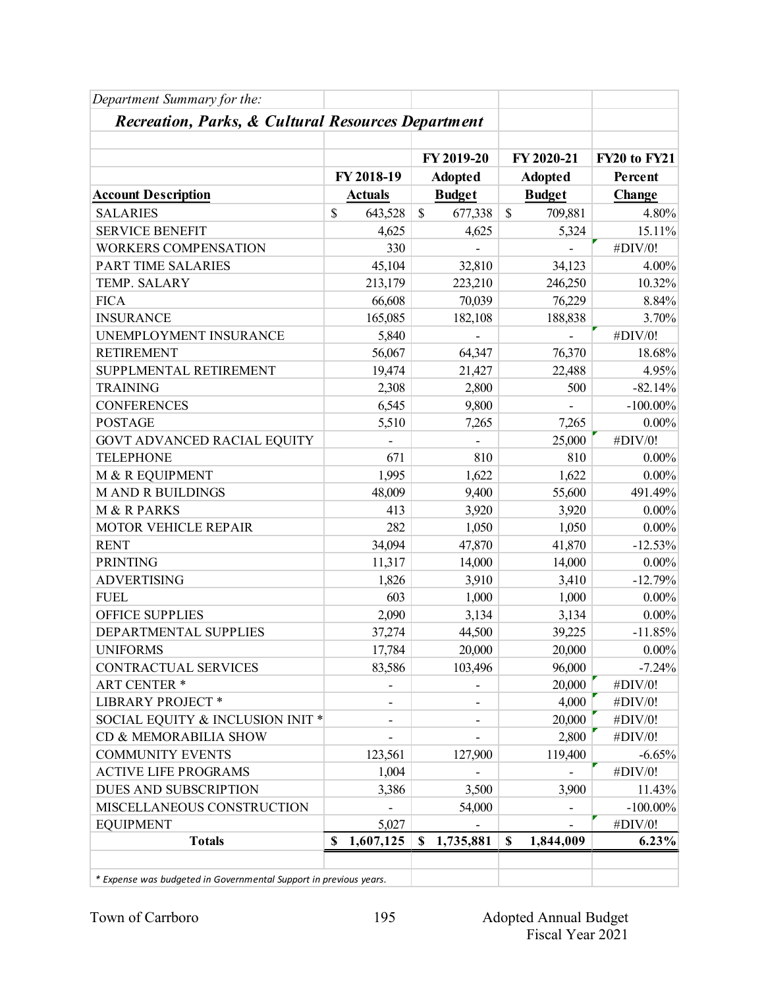| Department Summary for the:                                       |             |                |               |                |                 |                     |
|-------------------------------------------------------------------|-------------|----------------|---------------|----------------|-----------------|---------------------|
| Recreation, Parks, & Cultural Resources Department                |             |                |               |                |                 |                     |
|                                                                   |             |                |               | FY 2019-20     | FY 2020-21      | <b>FY20 to FY21</b> |
|                                                                   |             | FY 2018-19     |               | <b>Adopted</b> | <b>Adopted</b>  | Percent             |
| <b>Account Description</b>                                        |             | <b>Actuals</b> |               | <b>Budget</b>  | <b>Budget</b>   | Change              |
| <b>SALARIES</b>                                                   | \$          | 643,528        | $\mathcal{S}$ |                | \$              | 4.80%               |
| <b>SERVICE BENEFIT</b>                                            |             |                |               | 677,338        | 709,881         |                     |
|                                                                   |             | 4,625          |               | 4,625          | 5,324           | 15.11%              |
| WORKERS COMPENSATION                                              |             | 330            |               |                |                 | #DIV/0!             |
| PART TIME SALARIES                                                |             | 45,104         |               | 32,810         | 34,123          | 4.00%               |
| TEMP. SALARY                                                      |             | 213,179        |               | 223,210        | 246,250         | 10.32%              |
| <b>FICA</b>                                                       |             | 66,608         |               | 70,039         | 76,229          | 8.84%               |
| <b>INSURANCE</b>                                                  |             | 165,085        |               | 182,108        | 188,838         | 3.70%               |
| UNEMPLOYMENT INSURANCE                                            |             | 5,840          |               |                |                 | #DIV/0!             |
| <b>RETIREMENT</b>                                                 |             | 56,067         |               | 64,347         | 76,370          | 18.68%              |
| SUPPLMENTAL RETIREMENT                                            |             | 19,474         |               | 21,427         | 22,488          | 4.95%               |
| <b>TRAINING</b>                                                   |             | 2,308          |               | 2,800          | 500             | $-82.14%$           |
| <b>CONFERENCES</b>                                                |             | 6,545          |               | 9,800          |                 | $-100.00\%$         |
| <b>POSTAGE</b>                                                    |             | 5,510          |               | 7,265          | 7,265           | $0.00\%$            |
| GOVT ADVANCED RACIAL EQUITY                                       |             |                |               |                | 25,000          | #DIV/0!             |
| <b>TELEPHONE</b>                                                  |             | 671            |               | 810            | 810             | $0.00\%$            |
| M & R EQUIPMENT                                                   |             | 1,995          |               | 1,622          | 1,622           | $0.00\%$            |
| <b>MAND R BUILDINGS</b>                                           |             | 48,009         |               | 9,400          | 55,600          | 491.49%             |
| M & R PARKS                                                       |             | 413            |               | 3,920          | 3,920           | $0.00\%$            |
| MOTOR VEHICLE REPAIR                                              |             | 282            |               | 1,050          | 1,050           | $0.00\%$            |
| <b>RENT</b>                                                       |             | 34,094         |               | 47,870         | 41,870          | $-12.53%$           |
| <b>PRINTING</b>                                                   |             | 11,317         |               | 14,000         | 14,000          | $0.00\%$            |
| <b>ADVERTISING</b>                                                |             | 1,826          |               | 3,910          | 3,410           | $-12.79%$           |
| <b>FUEL</b>                                                       |             | 603            |               | 1,000          | 1,000           | $0.00\%$            |
| <b>OFFICE SUPPLIES</b>                                            |             | 2,090          |               | 3,134          | 3,134           | $0.00\%$            |
| DEPARTMENTAL SUPPLIES                                             |             | 37,274         |               | 44,500         | 39,225          | $-11.85%$           |
| <b>UNIFORMS</b>                                                   |             | 17,784         |               | 20,000         | 20,000          | $0.00\%$            |
| CONTRACTUAL SERVICES                                              |             | 83,586         |               | 103,496        | 96,000          | $-7.24%$            |
| <b>ART CENTER *</b>                                               |             |                |               |                | 20,000          | #DIV/0!             |
| <b>LIBRARY PROJECT *</b>                                          |             |                |               |                | 4,000           | #DIV/0!             |
| SOCIAL EQUITY & INCLUSION INIT *                                  |             | ۰              |               |                | 20,000          | #DIV/0!             |
| CD & MEMORABILIA SHOW                                             |             |                |               |                | 2,800           | #DIV/0!             |
| <b>COMMUNITY EVENTS</b>                                           |             | 123,561        |               | 127,900        | 119,400         | $-6.65%$            |
| <b>ACTIVE LIFE PROGRAMS</b>                                       |             | 1,004          |               |                |                 | #DIV/0!             |
| DUES AND SUBSCRIPTION                                             |             | 3,386          |               | 3,500          | 3,900           | 11.43%              |
| MISCELLANEOUS CONSTRUCTION                                        |             |                |               | 54,000         |                 | $-100.00\%$         |
| <b>EQUIPMENT</b>                                                  |             | 5,027          |               |                |                 | #DIV/0!             |
| <b>Totals</b>                                                     | $\mathbf S$ | 1,607,125      | \$            | 1,735,881      | \$<br>1,844,009 | 6.23%               |
| * Expense was budgeted in Governmental Support in previous years. |             |                |               |                |                 |                     |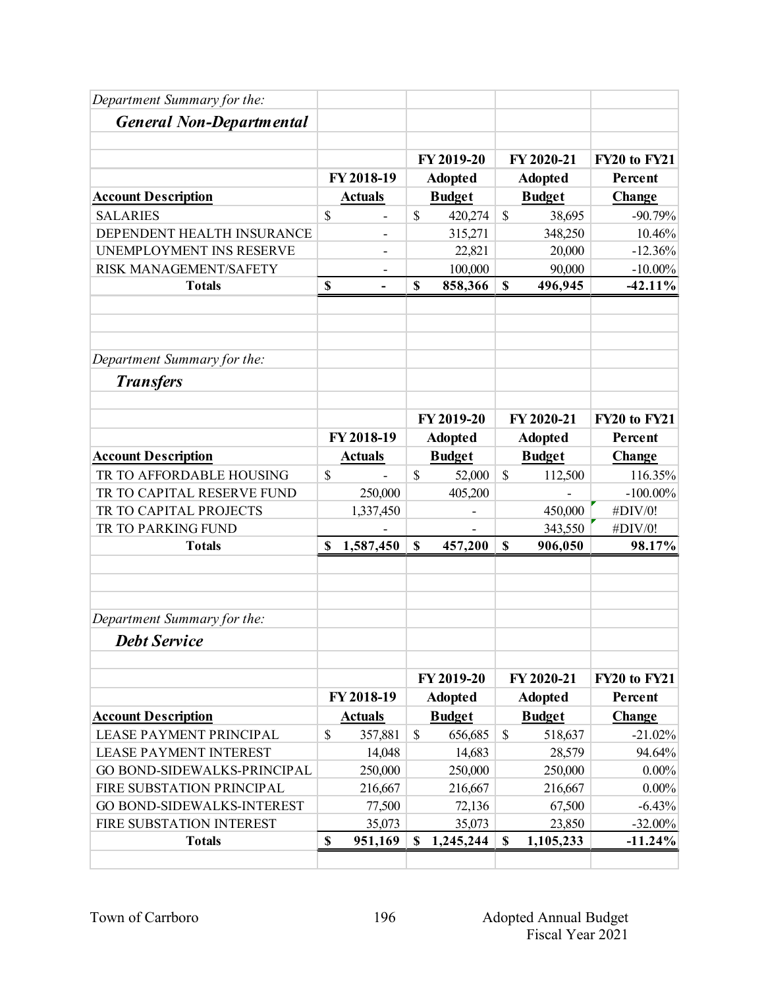| Department Summary for the:     |                      |               |                              |               |                              |                                |
|---------------------------------|----------------------|---------------|------------------------------|---------------|------------------------------|--------------------------------|
| <b>General Non-Departmental</b> |                      |               |                              |               |                              |                                |
|                                 |                      |               | FY 2019-20                   |               | FY 2020-21                   | <b>FY20 to FY21</b>            |
|                                 | FY 2018-19           |               | <b>Adopted</b>               |               | <b>Adopted</b>               | Percent                        |
| <b>Account Description</b>      | <b>Actuals</b>       |               | <b>Budget</b>                |               | <b>Budget</b>                | Change                         |
| <b>SALARIES</b>                 | \$<br>$\overline{a}$ | $\mathbb{S}$  | 420,274                      | $\mathbb{S}$  | 38,695                       | $-90.79%$                      |
| DEPENDENT HEALTH INSURANCE      |                      |               | 315,271                      |               | 348,250                      | 10.46%                         |
| UNEMPLOYMENT INS RESERVE        |                      |               | 22,821                       |               | 20,000                       | $-12.36%$                      |
| RISK MANAGEMENT/SAFETY          |                      |               | 100,000                      |               | 90,000                       | $-10.00\%$                     |
| <b>Totals</b>                   | \$<br>$\blacksquare$ | \$            | 858,366                      | \$            | 496,945                      | $-42.11%$                      |
| Department Summary for the:     |                      |               |                              |               |                              |                                |
| <b>Transfers</b>                |                      |               |                              |               |                              |                                |
|                                 |                      |               | FY 2019-20                   |               | FY 2020-21                   | FY20 to FY21                   |
|                                 | FY 2018-19           |               | <b>Adopted</b>               |               | <b>Adopted</b>               | Percent                        |
| <b>Account Description</b>      | <b>Actuals</b>       |               | <b>Budget</b>                |               | <b>Budget</b>                | Change                         |
| TR TO AFFORDABLE HOUSING        | \$                   | $\mathcal{S}$ | 52,000                       | $\mathcal{S}$ | 112,500                      | 116.35%                        |
| TR TO CAPITAL RESERVE FUND      | 250,000              |               | 405,200                      |               |                              | $-100.00\%$                    |
| TR TO CAPITAL PROJECTS          | 1,337,450            |               | $\overline{\phantom{a}}$     |               | 450,000                      | #DIV/0!                        |
| TR TO PARKING FUND              |                      |               |                              |               | 343,550                      | #DIV/0!                        |
| <b>Totals</b>                   | \$<br>1,587,450      | $\mathbf S$   | 457,200                      | \$            | 906,050                      | 98.17%                         |
| Department Summary for the:     |                      |               |                              |               |                              |                                |
| <b>Debt Service</b>             |                      |               |                              |               |                              |                                |
|                                 |                      |               |                              |               |                              |                                |
|                                 | FY 2018-19           |               | FY 2019-20<br><b>Adopted</b> |               | FY 2020-21<br><b>Adopted</b> | <b>FY20 to FY21</b><br>Percent |
| <b>Account Description</b>      | <b>Actuals</b>       |               | <b>Budget</b>                |               | <b>Budget</b>                | <b>Change</b>                  |
| <b>LEASE PAYMENT PRINCIPAL</b>  | \$<br>357,881        | $\mathcal{S}$ | 656,685                      | $\mathcal{S}$ | 518,637                      | $-21.02%$                      |
| <b>LEASE PAYMENT INTEREST</b>   | 14,048               |               | 14,683                       |               | 28,579                       | 94.64%                         |
| GO BOND-SIDEWALKS-PRINCIPAL     | 250,000              |               | 250,000                      |               | 250,000                      | $0.00\%$                       |
| FIRE SUBSTATION PRINCIPAL       | 216,667              |               | 216,667                      |               | 216,667                      | $0.00\%$                       |
| GO BOND-SIDEWALKS-INTEREST      | 77,500               |               | 72,136                       |               | 67,500                       | $-6.43%$                       |
| FIRE SUBSTATION INTEREST        | 35,073               |               | 35,073                       |               | 23,850                       | $-32.00\%$                     |
| <b>Totals</b>                   | \$<br>951,169        | $\mathbf S$   | 1,245,244                    | \$            | 1,105,233                    | $-11.24%$                      |
|                                 |                      |               |                              |               |                              |                                |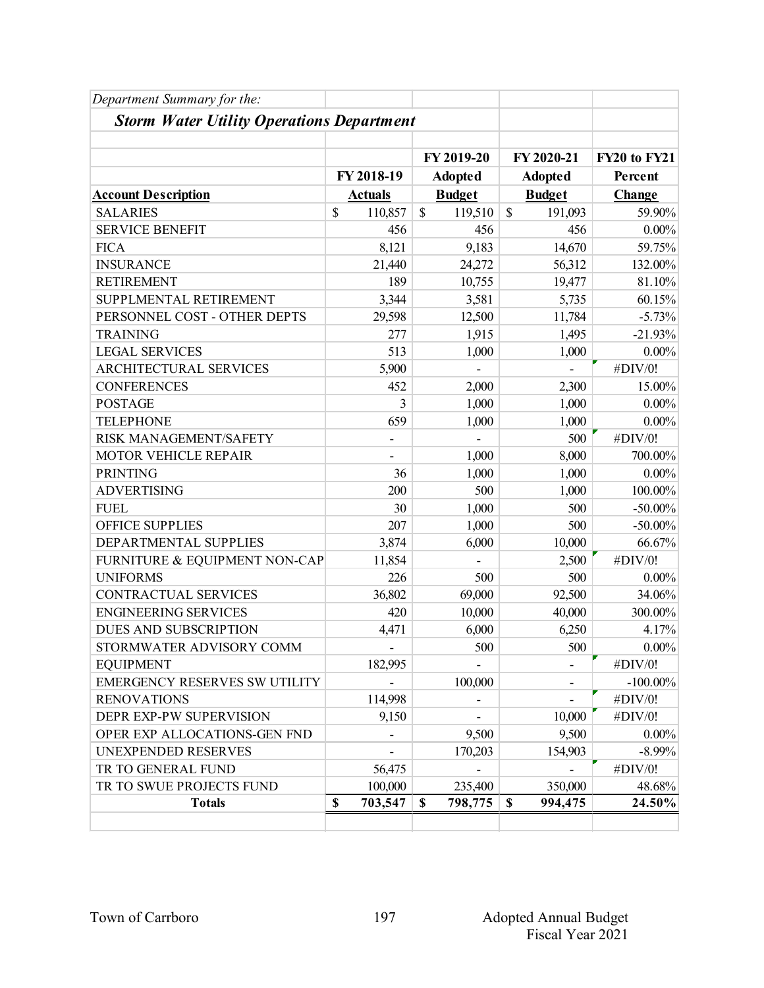| Department Summary for the:                      |               |                |                |                          |                     |
|--------------------------------------------------|---------------|----------------|----------------|--------------------------|---------------------|
| <b>Storm Water Utility Operations Department</b> |               |                |                |                          |                     |
|                                                  |               |                |                |                          |                     |
|                                                  |               |                | FY 2019-20     | FY 2020-21               | <b>FY20 to FY21</b> |
|                                                  |               | FY 2018-19     | <b>Adopted</b> | <b>Adopted</b>           | Percent             |
| <b>Account Description</b>                       |               | <b>Actuals</b> | <b>Budget</b>  | <b>Budget</b>            | Change              |
| <b>SALARIES</b>                                  | $\mathcal{S}$ | 110,857        | \$<br>119,510  | \$<br>191,093            | 59.90%              |
| <b>SERVICE BENEFIT</b>                           |               | 456            | 456            | 456                      | $0.00\%$            |
| <b>FICA</b>                                      |               | 8,121          | 9,183          | 14,670                   | 59.75%              |
| <b>INSURANCE</b>                                 |               | 21,440         | 24,272         | 56,312                   | 132.00%             |
| <b>RETIREMENT</b>                                |               | 189            | 10,755         | 19,477                   | 81.10%              |
| SUPPLMENTAL RETIREMENT                           |               | 3,344          | 3,581          | 5,735                    | 60.15%              |
| PERSONNEL COST - OTHER DEPTS                     |               | 29,598         | 12,500         | 11,784                   | $-5.73%$            |
| <b>TRAINING</b>                                  |               | 277            | 1,915          | 1,495                    | $-21.93%$           |
| <b>LEGAL SERVICES</b>                            |               | 513            | 1,000          | 1,000                    | $0.00\%$            |
| ARCHITECTURAL SERVICES                           |               | 5,900          |                |                          | #DIV/0!             |
| <b>CONFERENCES</b>                               |               | 452            | 2,000          | 2,300                    | 15.00%              |
| <b>POSTAGE</b>                                   |               | 3              | 1,000          | 1,000                    | $0.00\%$            |
| <b>TELEPHONE</b>                                 |               | 659            | 1,000          | 1,000                    | $0.00\%$            |
| RISK MANAGEMENT/SAFETY                           |               |                |                | 500                      | #DIV/0!             |
| MOTOR VEHICLE REPAIR                             |               |                | 1,000          | 8,000                    | 700.00%             |
| <b>PRINTING</b>                                  |               | 36             | 1,000          | 1,000                    | $0.00\%$            |
| <b>ADVERTISING</b>                               |               | 200            | 500            | 1,000                    | 100.00%             |
| <b>FUEL</b>                                      |               | 30             | 1,000          | 500                      | $-50.00\%$          |
| <b>OFFICE SUPPLIES</b>                           |               | 207            | 1,000          | 500                      | $-50.00\%$          |
| DEPARTMENTAL SUPPLIES                            |               | 3,874          | 6,000          | 10,000                   | 66.67%              |
| FURNITURE & EQUIPMENT NON-CAP                    |               | 11,854         |                | 2,500                    | #DIV/0!             |
| <b>UNIFORMS</b>                                  |               | 226            | 500            | 500                      | $0.00\%$            |
| <b>CONTRACTUAL SERVICES</b>                      |               | 36,802         | 69,000         | 92,500                   | 34.06%              |
| <b>ENGINEERING SERVICES</b>                      |               | 420            | 10,000         | 40,000                   | 300.00%             |
| DUES AND SUBSCRIPTION                            |               | 4,471          | 6,000          | 6,250                    | 4.17%               |
| STORMWATER ADVISORY COMM                         |               |                | 500            | 500                      | $0.00\%$            |
| <b>EQUIPMENT</b>                                 |               | 182,995        |                | $\overline{\phantom{a}}$ | #DIV/0!             |
| <b>EMERGENCY RESERVES SW UTILITY</b>             |               |                | 100,000        |                          | $-100.00\%$         |
| <b>RENOVATIONS</b>                               |               | 114,998        |                | $\overline{\phantom{0}}$ | #DIV/0!             |
| DEPR EXP-PW SUPERVISION                          |               | 9,150          |                | 10,000                   | #DIV/0!             |
| OPER EXP ALLOCATIONS-GEN FND                     |               |                | 9,500          | 9,500                    | $0.00\%$            |
| UNEXPENDED RESERVES                              |               |                | 170,203        | 154,903                  | $-8.99\%$           |
| TR TO GENERAL FUND                               |               | 56,475         |                |                          | #DIV/0!             |
| TR TO SWUE PROJECTS FUND                         |               | 100,000        | 235,400        | 350,000                  | 48.68%              |
| <b>Totals</b>                                    | \$            | 703,547        | \$<br>798,775  | \$<br>994,475            | 24.50%              |
|                                                  |               |                |                |                          |                     |